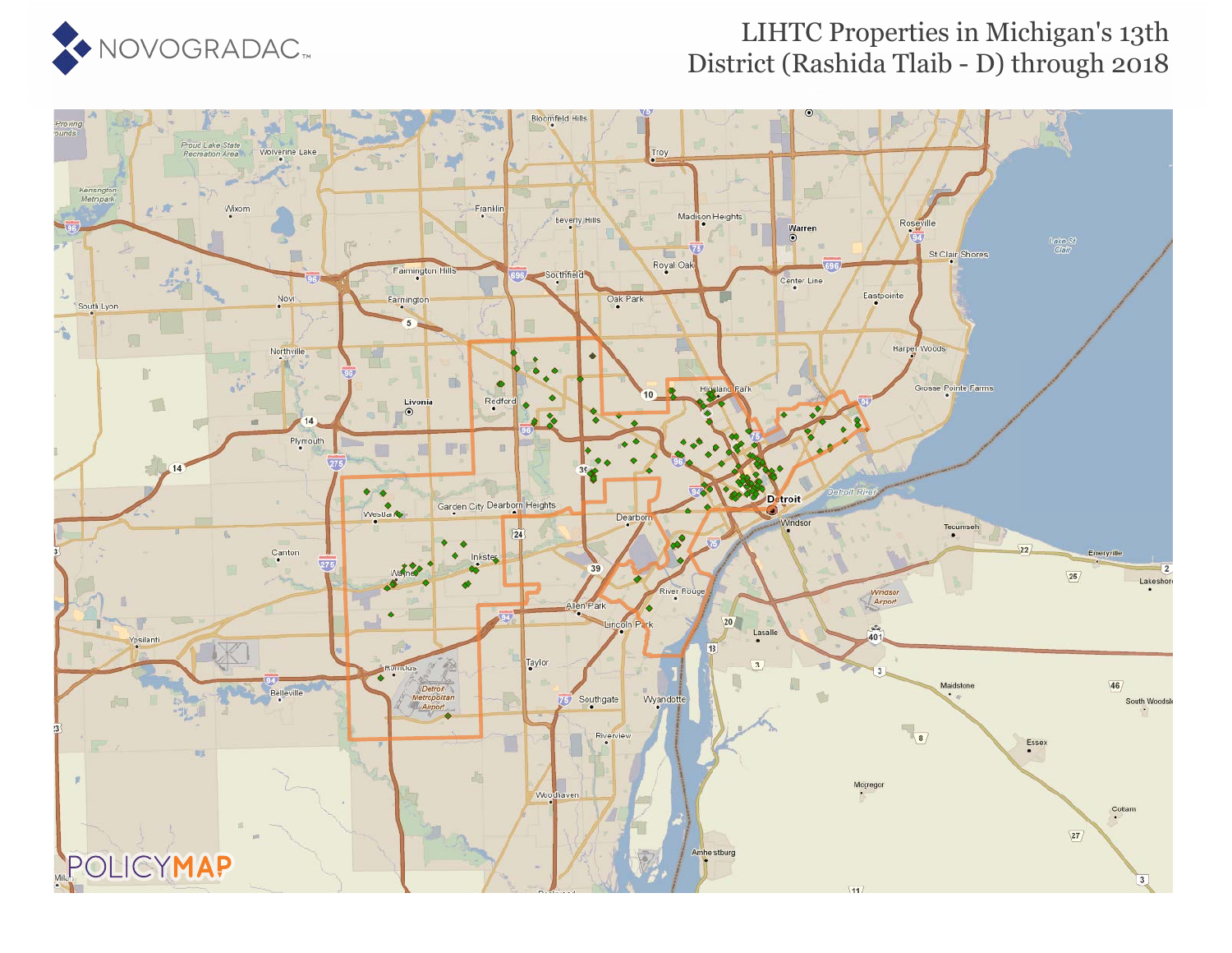

### LIHTC Properties in Michigan's 13th District (Rashida Tlaib - D) through 2018

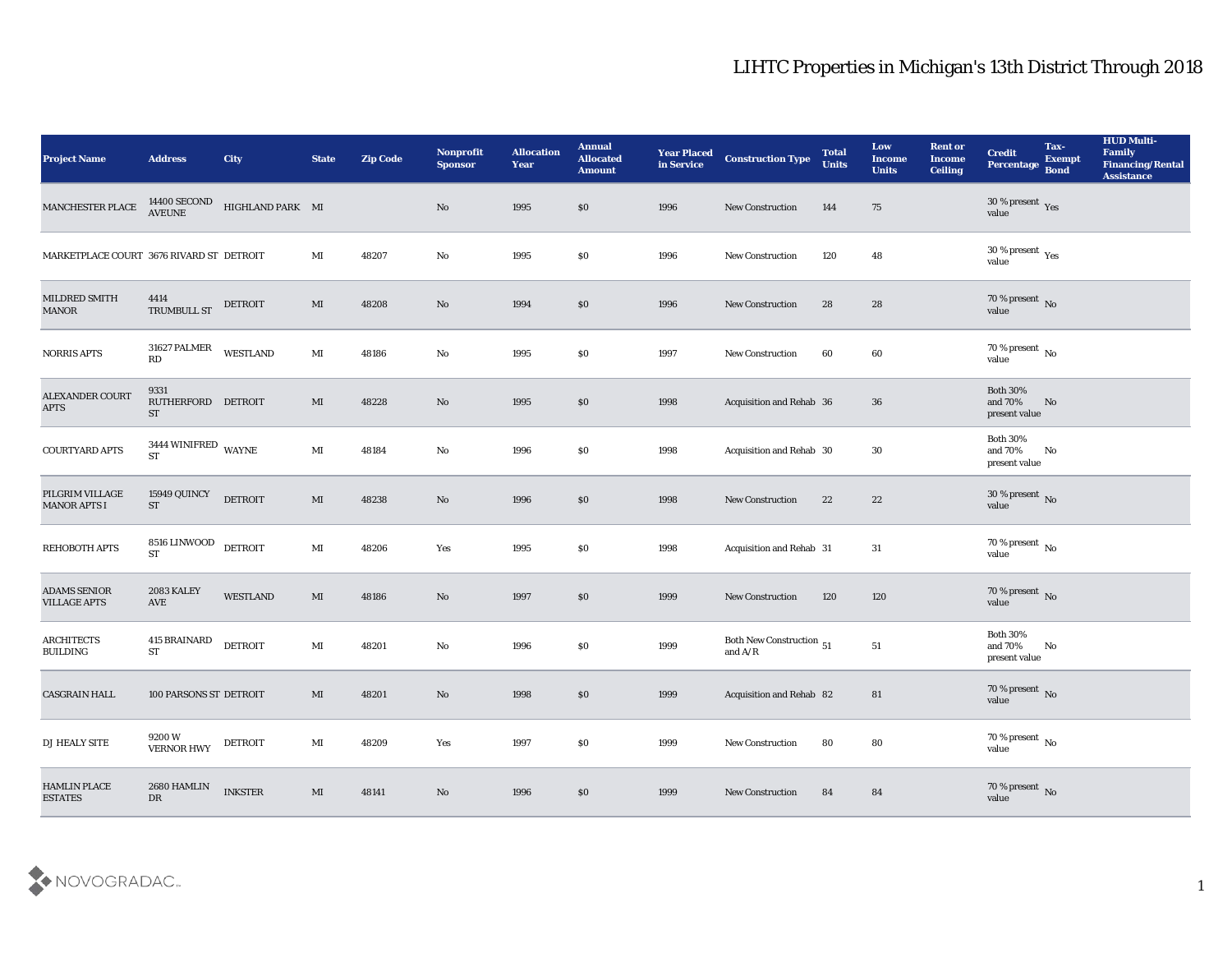| <b>Project Name</b>                        | <b>Address</b>                             | <b>City</b>      | <b>State</b>           | <b>Zip Code</b> | Nonprofit<br><b>Sponsor</b>   | <b>Allocation</b><br><b>Year</b> | <b>Annual</b><br><b>Allocated</b><br><b>Amount</b> | <b>Year Placed</b><br>in Service | <b>Construction Type</b>                  | <b>Total</b><br><b>Units</b> | Low<br><b>Income</b><br><b>Units</b> | <b>Rent or</b><br><b>Income</b><br><b>Ceiling</b> | <b>Credit</b><br>Percentage                 | Tax-<br><b>Exempt</b><br><b>Bond</b> | <b>HUD Multi-</b><br>Family<br><b>Financing/Rental</b><br><b>Assistance</b> |
|--------------------------------------------|--------------------------------------------|------------------|------------------------|-----------------|-------------------------------|----------------------------------|----------------------------------------------------|----------------------------------|-------------------------------------------|------------------------------|--------------------------------------|---------------------------------------------------|---------------------------------------------|--------------------------------------|-----------------------------------------------------------------------------|
| MANCHESTER PLACE                           | 14400 SECOND<br>AVEUNE                     | HIGHLAND PARK MI |                        |                 | No                            | 1995                             | \$0                                                | 1996                             | <b>New Construction</b>                   | 144                          | 75                                   |                                                   | $30\,\%$ present $\,$ Yes value             |                                      |                                                                             |
| MARKETPLACE COURT 3676 RIVARD ST DETROIT   |                                            |                  | MI                     | 48207           | No                            | 1995                             | \$0                                                | 1996                             | <b>New Construction</b>                   | 120                          | 48                                   |                                                   | $30\,\%$ present $\,$ Yes value             |                                      |                                                                             |
| MILDRED SMITH<br><b>MANOR</b>              | 4414<br><b>TRUMBULL ST</b>                 | <b>DETROIT</b>   | MI                     | 48208           | No                            | 1994                             | \$0                                                | 1996                             | New Construction                          | 28                           | 28                                   |                                                   | $70\,\%$ present $\,$ No value              |                                      |                                                                             |
| <b>NORRIS APTS</b>                         | 31627 PALMER<br>RD                         | <b>WESTLAND</b>  | $\mathbf{M}$ I         | 48186           | $\mathbf{N}\mathbf{o}$        | 1995                             | $\$0$                                              | 1997                             | New Construction                          | 60                           | 60                                   |                                                   | $70\,\%$ present $\,$ No value              |                                      |                                                                             |
| ALEXANDER COURT<br><b>APTS</b>             | 9331<br>RUTHERFORD DETROIT<br><b>ST</b>    |                  | MI                     | 48228           | No                            | 1995                             | \$0                                                | 1998                             | Acquisition and Rehab 36                  |                              | 36                                   |                                                   | <b>Both 30%</b><br>and 70%<br>present value | No                                   |                                                                             |
| COURTYARD APTS                             | 3444 WINIFRED WAYNE<br>$\operatorname{ST}$ |                  | MI                     | 48184           | No                            | 1996                             | \$0                                                | 1998                             | Acquisition and Rehab 30                  |                              | 30                                   |                                                   | <b>Both 30%</b><br>and 70%<br>present value | No                                   |                                                                             |
| PILGRIM VILLAGE<br><b>MANOR APTS I</b>     | 15949 QUINCY<br>ST                         | <b>DETROIT</b>   | $\mathbf{M}$           | 48238           | No                            | 1996                             | \$0                                                | 1998                             | New Construction                          | 22                           | 22                                   |                                                   | $30\,\%$ present $\,$ No value              |                                      |                                                                             |
| <b>REHOBOTH APTS</b>                       | 8516 LINWOOD<br>ST                         | <b>DETROIT</b>   | $\mathbf{M}$ I         | 48206           | Yes                           | 1995                             | \$0                                                | 1998                             | Acquisition and Rehab 31                  |                              | 31                                   |                                                   | 70 % present $\,$ No $\,$<br>value          |                                      |                                                                             |
| <b>ADAMS SENIOR</b><br><b>VILLAGE APTS</b> | 2083 KALEY<br>AVE                          | <b>WESTLAND</b>  | MI                     | 48186           | No                            | 1997                             | \$0                                                | 1999                             | <b>New Construction</b>                   | 120                          | 120                                  |                                                   | $70\,\%$ present $\,$ No value              |                                      |                                                                             |
| <b>ARCHITECTS</b><br><b>BUILDING</b>       | <b>415 BRAINARD</b><br><b>ST</b>           | DETROIT          | $\mathbf{M}\mathbf{I}$ | 48201           | $\mathbf{N}\mathbf{o}$        | 1996                             | \$0                                                | 1999                             | Both New Construction 51<br>and $\rm A/R$ |                              | 51                                   |                                                   | <b>Both 30%</b><br>and 70%<br>present value | No                                   |                                                                             |
| <b>CASGRAIN HALL</b>                       | <b>100 PARSONS ST DETROIT</b>              |                  | MI                     | 48201           | No                            | 1998                             | \$0                                                | 1999                             | Acquisition and Rehab 82                  |                              | 81                                   |                                                   | $70\,\%$ present $\,$ No value              |                                      |                                                                             |
| DJ HEALY SITE                              | $9200\,\mathrm{W}$<br><b>VERNOR HWY</b>    | <b>DETROIT</b>   | $\mathbf{M}\mathbf{I}$ | 48209           | $\operatorname{\textsc{Yes}}$ | 1997                             | $\$0$                                              | 1999                             | New Construction                          | 80                           | ${\bf 80}$                           |                                                   | 70 % present $\,$ No $\,$<br>value          |                                      |                                                                             |
| HAMLIN PLACE<br><b>ESTATES</b>             | 2680 HAMLIN<br>${\rm D}{\rm R}$            | <b>INKSTER</b>   | $\mathbf{M}\mathbf{I}$ | 48141           | $\rm \bf No$                  | 1996                             | \$0                                                | 1999                             | New Construction                          | 84                           | 84                                   |                                                   | $70\,\%$ present $\,$ No value              |                                      |                                                                             |

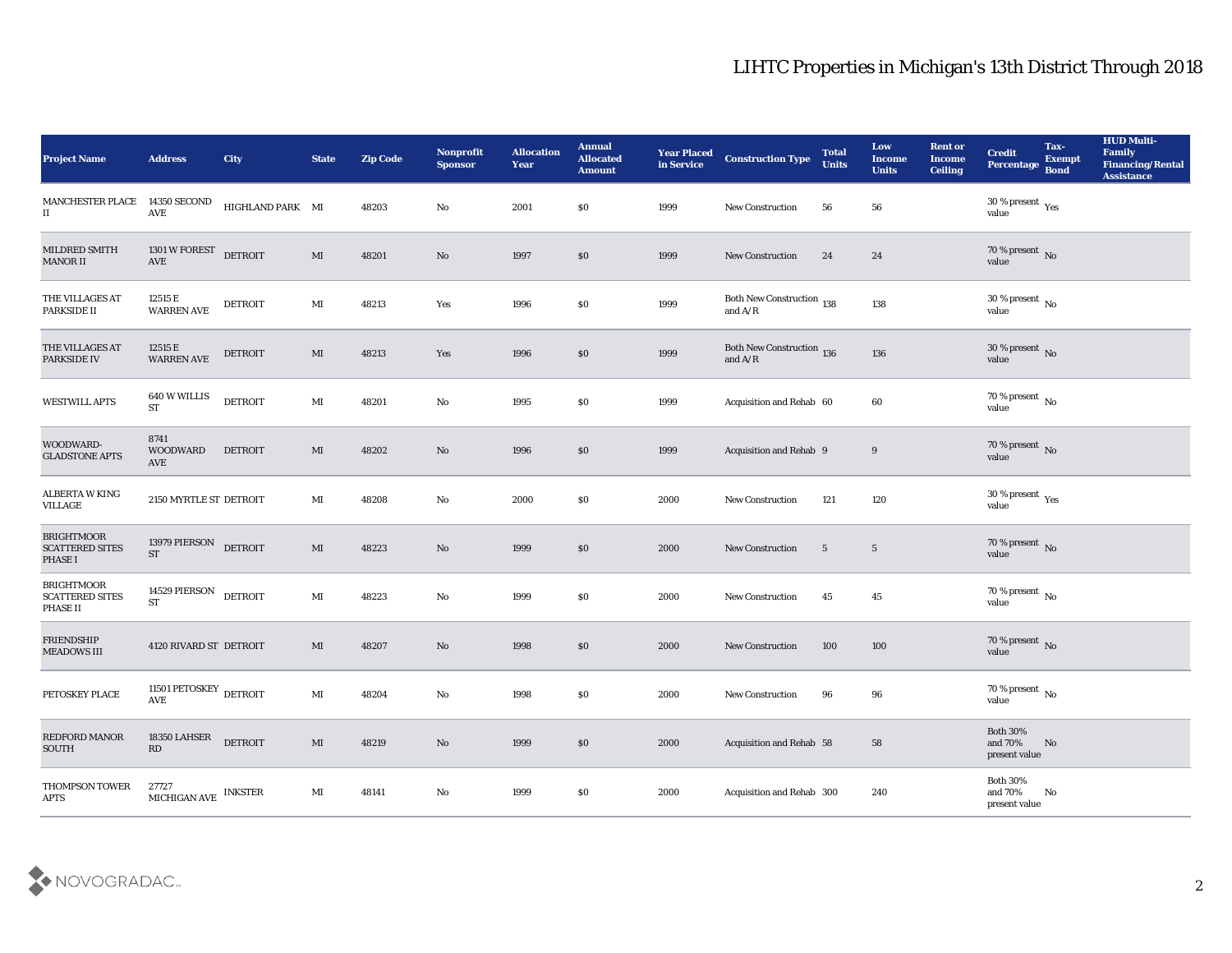| <b>Project Name</b>                                           | <b>Address</b>                              | <b>City</b>      | <b>State</b>           | <b>Zip Code</b> | Nonprofit<br><b>Sponsor</b> | <b>Allocation</b><br><b>Year</b> | <b>Annual</b><br><b>Allocated</b><br><b>Amount</b> | <b>Year Placed</b><br>in Service | <b>Construction Type</b>                | <b>Total</b><br><b>Units</b> | Low<br><b>Income</b><br><b>Units</b> | <b>Rent or</b><br><b>Income</b><br><b>Ceiling</b> | <b>Credit</b><br>Percentage                    | Tax-<br><b>Exempt</b><br><b>Bond</b> | <b>HUD Multi-</b><br>Family<br><b>Financing/Rental</b><br><b>Assistance</b> |
|---------------------------------------------------------------|---------------------------------------------|------------------|------------------------|-----------------|-----------------------------|----------------------------------|----------------------------------------------------|----------------------------------|-----------------------------------------|------------------------------|--------------------------------------|---------------------------------------------------|------------------------------------------------|--------------------------------------|-----------------------------------------------------------------------------|
| MANCHESTER PLACE<br>$_{\rm II}$                               | <b>14350 SECOND</b><br>$\operatorname{AVE}$ | HIGHLAND PARK MI |                        | 48203           | No                          | 2001                             | $\$0$                                              | 1999                             | <b>New Construction</b>                 | 56                           | 56                                   |                                                   | 30 % present $_{\rm Yes}$<br>value             |                                      |                                                                             |
| MILDRED SMITH<br><b>MANOR II</b>                              | 1301 W FOREST DETROIT<br>AVE                |                  | MI                     | 48201           | No                          | 1997                             | \$0                                                | 1999                             | <b>New Construction</b>                 | 24                           | 24                                   |                                                   | $70\,\%$ present $\,$ No $\,$ value            |                                      |                                                                             |
| THE VILLAGES AT<br><b>PARKSIDE II</b>                         | 12515 E<br><b>WARREN AVE</b>                | <b>DETROIT</b>   | MI                     | 48213           | Yes                         | 1996                             | \$0                                                | 1999                             | Both New Construction 138<br>and $A/R$  |                              | 138                                  |                                                   | 30 % present $\,$ No $\,$<br>value             |                                      |                                                                             |
| THE VILLAGES AT<br><b>PARKSIDE IV</b>                         | 12515 E<br><b>WARREN AVE</b>                | <b>DETROIT</b>   | MI                     | 48213           | Yes                         | 1996                             | \$0                                                | 1999                             | Both New Construction $$\,136$$ and A/R |                              | 136                                  |                                                   | $30\,\%$ present $\,$ No value                 |                                      |                                                                             |
| <b>WESTWILL APTS</b>                                          | 640 W WILLIS<br><b>ST</b>                   | <b>DETROIT</b>   | MI                     | 48201           | No                          | 1995                             | \$0                                                | 1999                             | Acquisition and Rehab 60                |                              | 60                                   |                                                   | 70 % present No<br>value                       |                                      |                                                                             |
| WOODWARD-<br><b>GLADSTONE APTS</b>                            | 8741<br><b>WOODWARD</b><br>AVE              | <b>DETROIT</b>   | MI                     | 48202           | No                          | 1996                             | \$0                                                | 1999                             | Acquisition and Rehab 9                 |                              | 9                                    |                                                   | $70\,\%$ present $\,$ No value                 |                                      |                                                                             |
| <b>ALBERTA W KING</b><br>VILLAGE                              | 2150 MYRTLE ST DETROIT                      |                  | MI                     | 48208           | No                          | 2000                             | \$0                                                | 2000                             | <b>New Construction</b>                 | 121                          | 120                                  |                                                   | $30\,\%$ present $\,$ Yes value                |                                      |                                                                             |
| <b>BRIGHTMOOR</b><br><b>SCATTERED SITES</b><br><b>PHASE I</b> | 13979 PIERSON<br><b>ST</b>                  | <b>DETROIT</b>   | $\mathbf{M}$           | 48223           | No                          | 1999                             | \$0                                                | 2000                             | <b>New Construction</b>                 | $5\phantom{.0}$              | $\overline{5}$                       |                                                   | $70\,\%$ present $\,$ No value                 |                                      |                                                                             |
| <b>BRIGHTMOOR</b><br><b>SCATTERED SITES</b><br>PHASE II       | 14529 PIERSON<br><b>ST</b>                  | <b>DETROIT</b>   | $\mathbf{M}$ I         | 48223           | No                          | 1999                             | $\$0$                                              | 2000                             | <b>New Construction</b>                 | 45                           | 45                                   |                                                   | $70\,\%$ present $\,$ No value                 |                                      |                                                                             |
| <b>FRIENDSHIP</b><br><b>MEADOWS III</b>                       | 4120 RIVARD ST DETROIT                      |                  | MI                     | 48207           | No                          | 1998                             | \$0                                                | 2000                             | <b>New Construction</b>                 | 100                          | 100                                  |                                                   | $70\,\%$ present $\,$ No value                 |                                      |                                                                             |
| PETOSKEY PLACE                                                | 11501 PETOSKEY DETROIT<br>AVE               |                  | $\mathbf{M}$ I         | 48204           | No                          | 1998                             | $\$0$                                              | 2000                             | <b>New Construction</b>                 | 96                           | 96                                   |                                                   | 70 % present $\,$ No $\,$<br>value             |                                      |                                                                             |
| <b>REDFORD MANOR</b><br><b>SOUTH</b>                          | 18350 LAHSER<br>$\mathbf{R}\mathbf{D}$      | <b>DETROIT</b>   | $\mathbf{M}\mathbf{I}$ | 48219           | $\rm\thinspace No$          | 1999                             | $\$0$                                              | 2000                             | Acquisition and Rehab 58                |                              | 58                                   |                                                   | <b>Both 30%</b><br>and $70\%$<br>present value | No                                   |                                                                             |
| THOMPSON TOWER<br>$\rm APTS$                                  | 27727<br>MICHIGAN AVE INKSTER               |                  | $\mathbf{M}$ I         | 48141           | ${\bf No}$                  | 1999                             | $\$0$                                              | 2000                             | Acquisition and Rehab 300               |                              | 240                                  |                                                   | Both $30\%$<br>and $70\%$<br>present value     | No                                   |                                                                             |

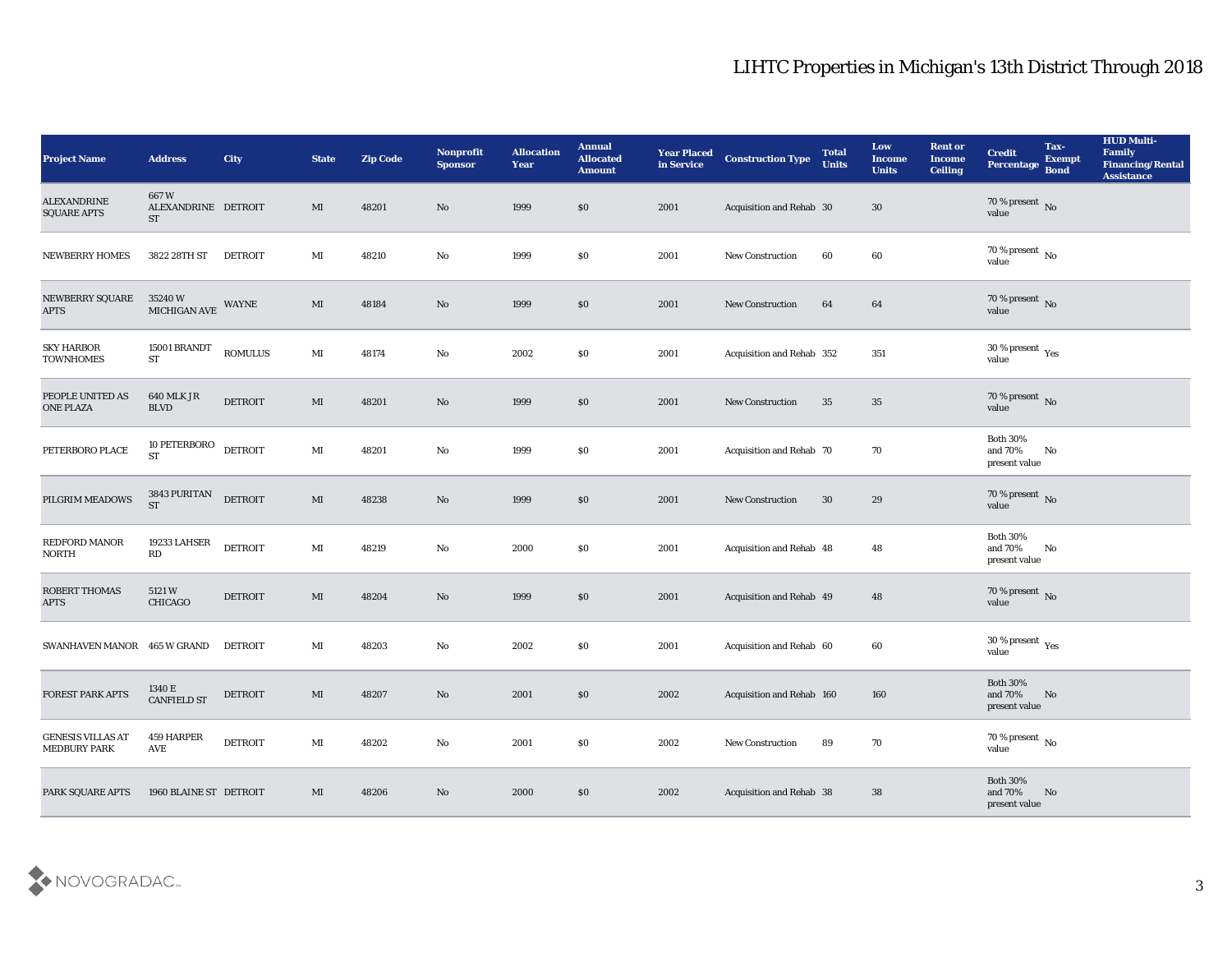| <b>Project Name</b>                      | <b>Address</b>                           | City           | <b>State</b>           | <b>Zip Code</b> | Nonprofit<br><b>Sponsor</b> | <b>Allocation</b><br><b>Year</b> | <b>Annual</b><br><b>Allocated</b><br><b>Amount</b> | <b>Year Placed</b><br>in Service | <b>Construction Type</b>         | <b>Total</b><br><b>Units</b> | Low<br><b>Income</b><br><b>Units</b> | <b>Rent or</b><br><b>Income</b><br><b>Ceiling</b> | <b>Credit</b><br>Percentage                 | Tax-<br><b>Exempt</b><br><b>Bond</b> | <b>HUD Multi-</b><br>Family<br><b>Financing/Rental</b><br><b>Assistance</b> |
|------------------------------------------|------------------------------------------|----------------|------------------------|-----------------|-----------------------------|----------------------------------|----------------------------------------------------|----------------------------------|----------------------------------|------------------------------|--------------------------------------|---------------------------------------------------|---------------------------------------------|--------------------------------------|-----------------------------------------------------------------------------|
| <b>ALEXANDRINE</b><br><b>SQUARE APTS</b> | 667W<br>ALEXANDRINE DETROIT<br><b>ST</b> |                | MI                     | 48201           | No                          | 1999                             | $\$0$                                              | 2001                             | Acquisition and Rehab 30         |                              | 30                                   |                                                   | $70\,\%$ present $\,$ No value              |                                      |                                                                             |
| <b>NEWBERRY HOMES</b>                    | 3822 28TH ST                             | <b>DETROIT</b> | MI                     | 48210           | No                          | 1999                             | \$0                                                | 2001                             | New Construction                 | 60                           | 60                                   |                                                   | 70 % present $\,$ No $\,$<br>value          |                                      |                                                                             |
| <b>NEWBERRY SQUARE</b><br><b>APTS</b>    | 35240 W<br>MICHIGAN AVE                  | WAYNE          | MI                     | 48184           | No                          | 1999                             | \$0                                                | 2001                             | New Construction                 | 64                           | 64                                   |                                                   | $70\,\%$ present $\,$ No value              |                                      |                                                                             |
| <b>SKY HARBOR</b><br><b>TOWNHOMES</b>    | 15001 BRANDT<br><b>ST</b>                | <b>ROMULUS</b> | $\mathbf{M}$ I         | 48174           | $\rm\thinspace No$          | 2002                             | \$0                                                | 2001                             | Acquisition and Rehab 352        |                              | 351                                  |                                                   | $30\,\%$ present $\,$ Yes value             |                                      |                                                                             |
| PEOPLE UNITED AS<br><b>ONE PLAZA</b>     | <b>640 MLK JR</b><br><b>BLVD</b>         | <b>DETROIT</b> | MI                     | 48201           | No                          | 1999                             | \$0                                                | 2001                             | <b>New Construction</b>          | 35                           | 35                                   |                                                   | $70\,\%$ present $\,$ No value              |                                      |                                                                             |
| PETERBORO PLACE                          | 10 PETERBORO<br>$\operatorname{ST}$      | <b>DETROIT</b> | MI                     | 48201           | No                          | 1999                             | \$0                                                | 2001                             | Acquisition and Rehab 70         |                              | 70                                   |                                                   | <b>Both 30%</b><br>and 70%<br>present value | No                                   |                                                                             |
| PILGRIM MEADOWS                          | 3843 PURITAN<br><b>ST</b>                | <b>DETROIT</b> | $\mathbf{M}$           | 48238           | No                          | 1999                             | \$0                                                | 2001                             | <b>New Construction</b>          | 30                           | 29                                   |                                                   | $70\,\%$ present $\,$ No value              |                                      |                                                                             |
| REDFORD MANOR<br><b>NORTH</b>            | 19233 LAHSER<br>RD                       | <b>DETROIT</b> | MI                     | 48219           | No                          | 2000                             | \$0                                                | 2001                             | Acquisition and Rehab 48         |                              | 48                                   |                                                   | <b>Both 30%</b><br>and 70%<br>present value | No                                   |                                                                             |
| ROBERT THOMAS<br><b>APTS</b>             | 5121W<br>CHICAGO                         | <b>DETROIT</b> | MI                     | 48204           | No                          | 1999                             | \$0                                                | 2001                             | Acquisition and Rehab 49         |                              | 48                                   |                                                   | $70\,\%$ present $\,$ No value              |                                      |                                                                             |
| SWANHAVEN MANOR 465 W GRAND              |                                          | <b>DETROIT</b> | MI                     | 48203           | No                          | 2002                             | \$0                                                | 2001                             | Acquisition and Rehab 60         |                              | 60                                   |                                                   | $30\,\%$ present $\,$ Yes value             |                                      |                                                                             |
| <b>FOREST PARK APTS</b>                  | 1340 E<br><b>CANFIELD ST</b>             | <b>DETROIT</b> | MI                     | 48207           | No                          | 2001                             | \$0                                                | 2002                             | <b>Acquisition and Rehab 160</b> |                              | 160                                  |                                                   | <b>Both 30%</b><br>and 70%<br>present value | No                                   |                                                                             |
| GENESIS VILLAS AT<br><b>MEDBURY PARK</b> | 459 HARPER<br>AVE                        | <b>DETROIT</b> | $\mathbf{M}\mathbf{I}$ | 48202           | $\mathbf {No}$              | 2001                             | $\$0$                                              | 2002                             | New Construction                 | 89                           | 70                                   |                                                   | 70 % present $\overline{N_0}$<br>value      |                                      |                                                                             |
| PARK SQUARE APTS                         | 1960 BLAINE ST DETROIT                   |                | MI                     | 48206           | $\rm\thinspace No$          | 2000                             | \$0                                                | 2002                             | Acquisition and Rehab 38         |                              | 38                                   |                                                   | Both $30\%$<br>and $70\%$<br>present value  | No                                   |                                                                             |

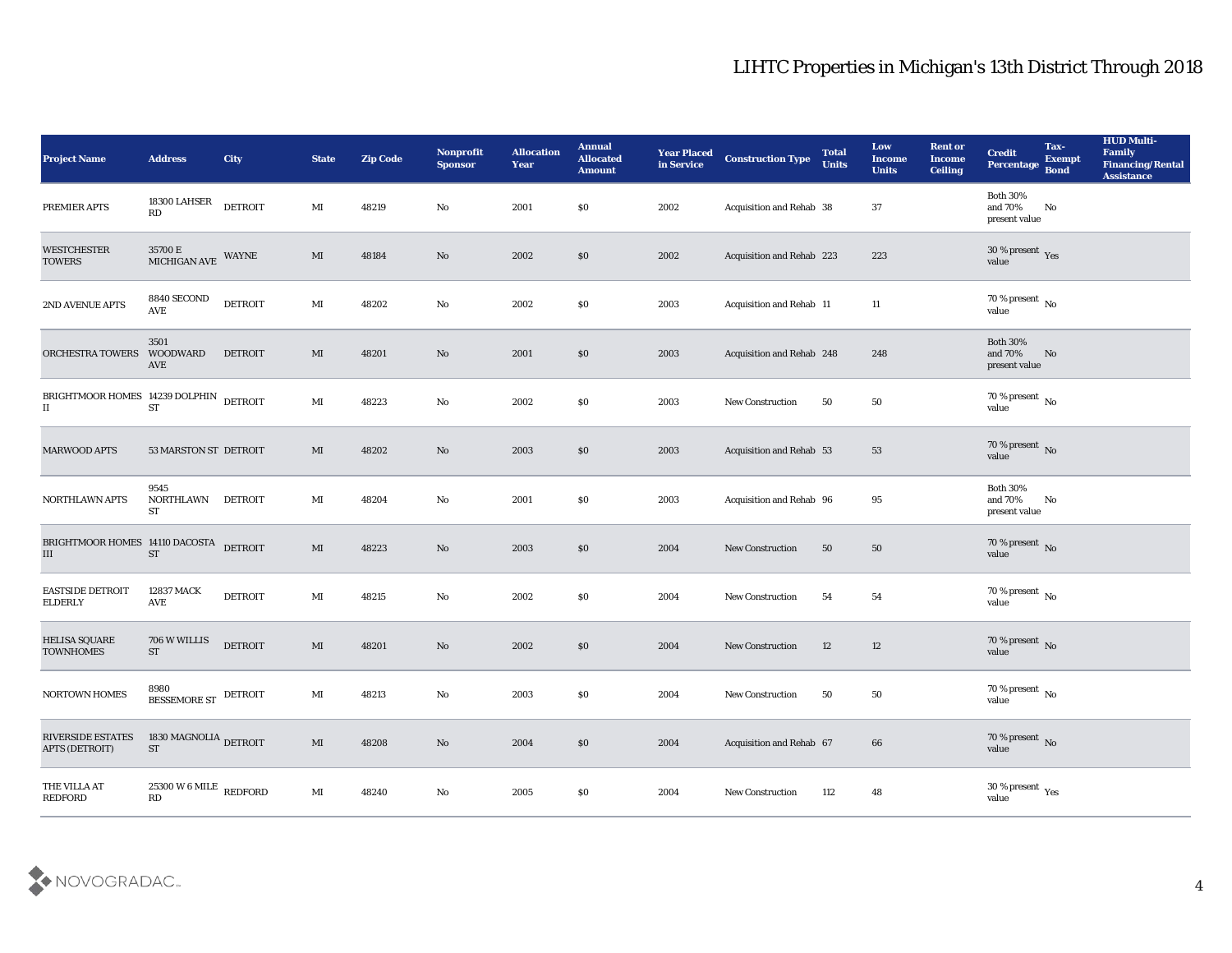| <b>Project Name</b>                                            | <b>Address</b>                                                          | City           | <b>State</b>           | <b>Zip Code</b> | <b>Nonprofit</b><br><b>Sponsor</b> | <b>Allocation</b><br><b>Year</b> | <b>Annual</b><br><b>Allocated</b><br><b>Amount</b> | <b>Year Placed</b><br>in Service | <b>Construction Type</b>  | <b>Total</b><br><b>Units</b> | Low<br><b>Income</b><br><b>Units</b> | <b>Rent or</b><br><b>Income</b><br><b>Ceiling</b> | <b>Credit</b><br>Percentage                 | Tax-<br><b>Exempt</b><br><b>Bond</b> | <b>HUD Multi-</b><br>Family<br><b>Financing/Rental</b><br><b>Assistance</b> |
|----------------------------------------------------------------|-------------------------------------------------------------------------|----------------|------------------------|-----------------|------------------------------------|----------------------------------|----------------------------------------------------|----------------------------------|---------------------------|------------------------------|--------------------------------------|---------------------------------------------------|---------------------------------------------|--------------------------------------|-----------------------------------------------------------------------------|
| PREMIER APTS                                                   | 18300 LAHSER<br>RD                                                      | <b>DETROIT</b> | $\mathbf{M}$           | 48219           | No                                 | 2001                             | $\$0$                                              | 2002                             | Acquisition and Rehab 38  |                              | 37                                   |                                                   | <b>Both 30%</b><br>and 70%<br>present value | No                                   |                                                                             |
| <b>WESTCHESTER</b><br><b>TOWERS</b>                            | $35700\,\mathrm{E}$<br>MICHIGAN AVE                                     | WAYNE          | MI                     | 48184           | No                                 | 2002                             | \$0                                                | 2002                             | Acquisition and Rehab 223 |                              | 223                                  |                                                   | $30\,\%$ present $\,$ Yes value             |                                      |                                                                             |
| 2ND AVENUE APTS                                                | 8840 SECOND<br>AVE                                                      | <b>DETROIT</b> | $\mathbf{M}$           | 48202           | $\rm\thinspace No$                 | 2002                             | \$0\$                                              | 2003                             | Acquisition and Rehab 11  |                              | 11                                   |                                                   | 70 % present $\,$ No $\,$<br>value          |                                      |                                                                             |
| ORCHESTRA TOWERS                                               | 3501<br>WOODWARD<br>AVE                                                 | <b>DETROIT</b> | MI                     | 48201           | No                                 | 2001                             | \$0\$                                              | 2003                             | Acquisition and Rehab 248 |                              | 248                                  |                                                   | <b>Both 30%</b><br>and 70%<br>present value | No                                   |                                                                             |
| BRIGHTMOOR HOMES 14239 DOLPHIN DETROIT<br>$\scriptstyle\rm II$ | $\operatorname{ST}$                                                     |                | MI                     | 48223           | $\mathbf{N}\mathbf{o}$             | 2002                             | \$0\$                                              | 2003                             | <b>New Construction</b>   | 50                           | 50                                   |                                                   | $70\,\%$ present $\,$ No value              |                                      |                                                                             |
| <b>MARWOOD APTS</b>                                            | 53 MARSTON ST DETROIT                                                   |                | MI                     | 48202           | No                                 | 2003                             | \$0                                                | 2003                             | Acquisition and Rehab 53  |                              | 53                                   |                                                   | $70\,\%$ present $\,$ No value              |                                      |                                                                             |
| <b>NORTHLAWN APTS</b>                                          | 9545<br>NORTHLAWN<br>ST                                                 | <b>DETROIT</b> | MI                     | 48204           | No                                 | 2001                             | $\$0$                                              | 2003                             | Acquisition and Rehab 96  |                              | 95                                   |                                                   | <b>Both 30%</b><br>and 70%<br>present value | No                                   |                                                                             |
| BRIGHTMOOR HOMES 14110 DACOSTA<br>III                          | <b>ST</b>                                                               | <b>DETROIT</b> | MI                     | 48223           | No                                 | 2003                             | \$0                                                | 2004                             | New Construction          | 50                           | 50                                   |                                                   | 70 % present $\,$ No $\,$<br>value          |                                      |                                                                             |
| <b>EASTSIDE DETROIT</b><br><b>ELDERLY</b>                      | 12837 MACK<br>AVE                                                       | <b>DETROIT</b> | MI                     | 48215           | No                                 | 2002                             | \$0\$                                              | 2004                             | <b>New Construction</b>   | 54                           | 54                                   |                                                   | $70\,\%$ present $\,$ No value              |                                      |                                                                             |
| <b>HELISA SQUARE</b><br><b>TOWNHOMES</b>                       | 706 W WILLIS<br>${\rm ST}$                                              | <b>DETROIT</b> | MI                     | 48201           | No                                 | 2002                             | \$0                                                | 2004                             | <b>New Construction</b>   | 12                           | 12                                   |                                                   | $70\,\%$ present $\,$ No value              |                                      |                                                                             |
| <b>NORTOWN HOMES</b>                                           | 8980<br>BESSEMORE ST DETROIT                                            |                | MI                     | 48213           | No                                 | 2003                             | \$0                                                | 2004                             | <b>New Construction</b>   | 50                           | 50                                   |                                                   | 70 % present No<br>value                    |                                      |                                                                             |
| <b>RIVERSIDE ESTATES</b><br><b>APTS (DETROIT)</b>              | 1830 MAGNOLIA DETROIT<br><b>ST</b>                                      |                | $\rm MI$               | 48208           | $\mathbf {No}$                     | 2004                             | $\$0$                                              | 2004                             | Acquisition and Rehab 67  |                              | $\bf 66$                             |                                                   | $70\,\%$ present $\,$ No $\,$ value         |                                      |                                                                             |
| THE VILLA AT<br>REDFORD                                        | $25300\,\mathrm{W}\,6\,\mathrm{MILE}$ REDFORD<br>$\mathbf{R}\mathbf{D}$ |                | $\mathbf{M}\mathbf{I}$ | 48240           | ${\bf No}$                         | 2005                             | $\$0$                                              | 2004                             | New Construction          | 112                          | 48                                   |                                                   | $30\,\%$ present $\,$ Yes value             |                                      |                                                                             |

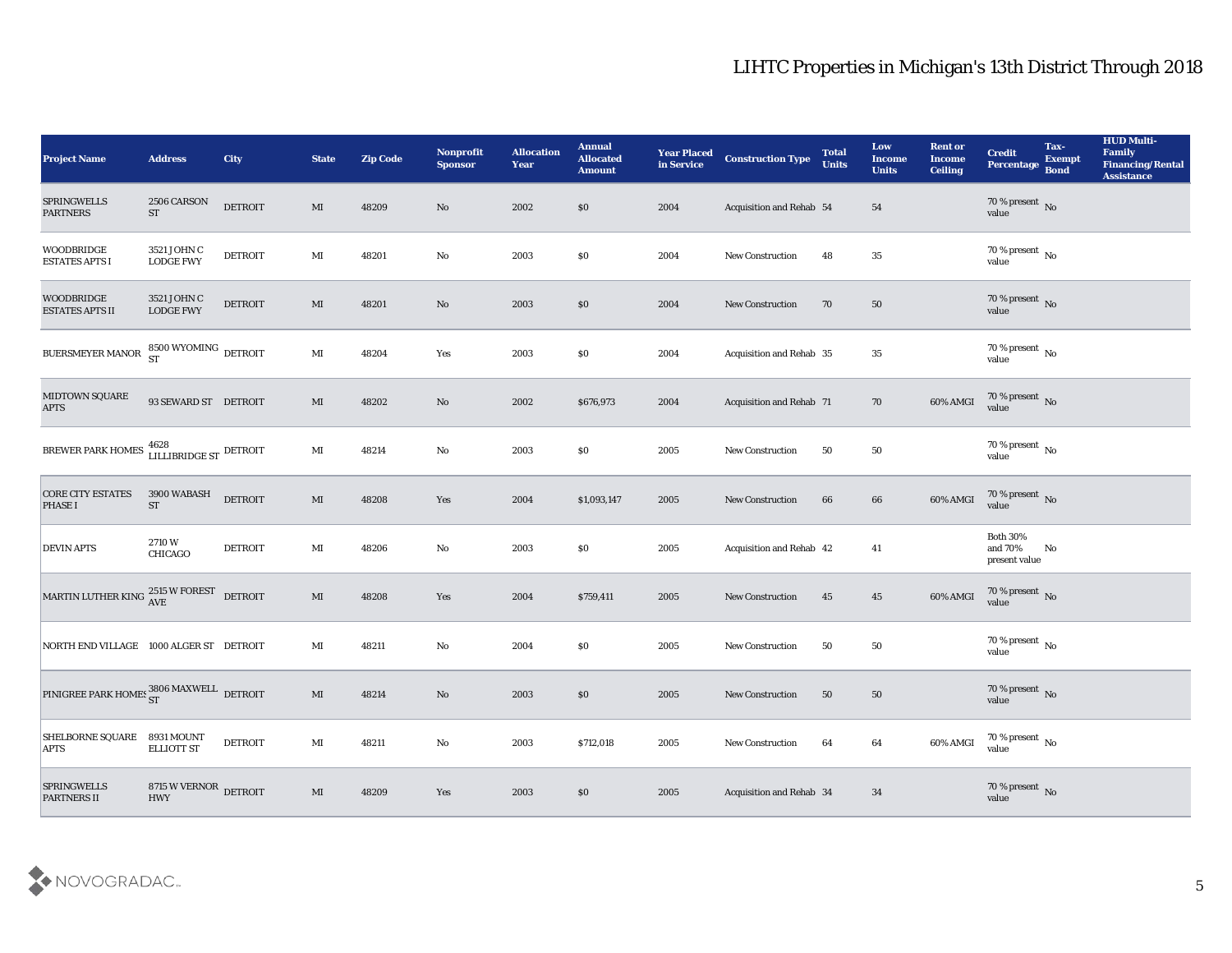| <b>Project Name</b>                                     | <b>Address</b>                                  | <b>City</b>    | <b>State</b>           | <b>Zip Code</b> | Nonprofit<br><b>Sponsor</b> | <b>Allocation</b><br><b>Year</b> | <b>Annual</b><br><b>Allocated</b><br><b>Amount</b> | <b>Year Placed</b><br>in Service | <b>Construction Type</b> | <b>Total</b><br><b>Units</b> | Low<br><b>Income</b><br><b>Units</b> | <b>Rent or</b><br><b>Income</b><br><b>Ceiling</b> | <b>Credit</b><br>Percentage                    | Tax-<br><b>Exempt</b><br><b>Bond</b> | <b>HUD Multi-</b><br>Family<br><b>Financing/Rental</b><br><b>Assistance</b> |
|---------------------------------------------------------|-------------------------------------------------|----------------|------------------------|-----------------|-----------------------------|----------------------------------|----------------------------------------------------|----------------------------------|--------------------------|------------------------------|--------------------------------------|---------------------------------------------------|------------------------------------------------|--------------------------------------|-----------------------------------------------------------------------------|
| <b>SPRINGWELLS</b><br><b>PARTNERS</b>                   | 2506 CARSON<br><b>ST</b>                        | <b>DETROIT</b> | MI                     | 48209           | No                          | 2002                             | \$0                                                | 2004                             | Acquisition and Rehab 54 |                              | 54                                   |                                                   | $70\,\%$ present $\,$ No value                 |                                      |                                                                             |
| <b>WOODBRIDGE</b><br><b>ESTATES APTS I</b>              | 3521 JOHN C<br><b>LODGE FWY</b>                 | <b>DETROIT</b> | MI                     | 48201           | $\mathbf{No}$               | 2003                             | \$0                                                | 2004                             | <b>New Construction</b>  | 48                           | 35                                   |                                                   | $70\,\%$ present $\,$ No value                 |                                      |                                                                             |
| <b>WOODBRIDGE</b><br><b>ESTATES APTS II</b>             | 3521 JOHN C<br><b>LODGE FWY</b>                 | <b>DETROIT</b> | MI                     | 48201           | No                          | 2003                             | $\boldsymbol{\mathsf{S}}\boldsymbol{\mathsf{O}}$   | 2004                             | <b>New Construction</b>  | 70                           | 50                                   |                                                   | $70\,\%$ present $\,$ No value                 |                                      |                                                                             |
| BUERSMEYER MANOR                                        | $8500\,\mbox{WYOMING}\,\,$ DETROIT<br><b>ST</b> |                | $\mathbf{M}$           | 48204           | Yes                         | 2003                             | \$0                                                | 2004                             | Acquisition and Rehab 35 |                              | 35                                   |                                                   | $70\,\%$ present $\,$ No value                 |                                      |                                                                             |
| MIDTOWN SQUARE<br><b>APTS</b>                           | 93 SEWARD ST DETROIT                            |                | MI                     | 48202           | No                          | 2002                             | \$676,973                                          | 2004                             | Acquisition and Rehab 71 |                              | 70                                   | 60% AMGI                                          | $70\,\%$ present $\,$ No value                 |                                      |                                                                             |
| BREWER PARK HOMES LILLIBRIDGE ST DETROIT                |                                                 |                | $\mathbf{M}$ I         | 48214           | No                          | 2003                             | \$0                                                | 2005                             | <b>New Construction</b>  | 50                           | 50                                   |                                                   | $70\,\%$ present $\,$ No value                 |                                      |                                                                             |
| <b>CORE CITY ESTATES</b><br><b>PHASE I</b>              | 3900 WABASH<br><b>ST</b>                        | <b>DETROIT</b> | $\mathbf{M}\mathbf{I}$ | 48208           | Yes                         | 2004                             | \$1,093,147                                        | 2005                             | New Construction         | 66                           | 66                                   | 60% AMGI                                          | $70\,\%$ present $\,$ No value                 |                                      |                                                                             |
| <b>DEVIN APTS</b>                                       | 2710W<br><b>CHICAGO</b>                         | <b>DETROIT</b> | MI                     | 48206           | $\mathbf{No}$               | 2003                             | \$0                                                | 2005                             | Acquisition and Rehab 42 |                              | 41                                   |                                                   | <b>Both 30%</b><br>and $70\%$<br>present value | No                                   |                                                                             |
| MARTIN LUTHER KING $_{\rm{AVE}}^{2515\text{ W FOREST}}$ |                                                 | <b>DETROIT</b> | $\mathbf{M}\mathbf{I}$ | 48208           | Yes                         | 2004                             | \$759,411                                          | 2005                             | New Construction         | 45                           | 45                                   | 60% AMGI                                          | $70$ % present $\,$ No value                   |                                      |                                                                             |
| NORTH END VILLAGE 1000 ALGER ST DETROIT                 |                                                 |                | MI                     | 48211           | No                          | 2004                             | \$0                                                | 2005                             | <b>New Construction</b>  | 50                           | 50                                   |                                                   | $70\,\%$ present $\,$ No value                 |                                      |                                                                             |
| PINIGREE PARK HOMES 3806 MAXWELL DETROIT                |                                                 |                | MI                     | 48214           | No                          | 2003                             | \$0                                                | 2005                             | <b>New Construction</b>  | 50                           | 50                                   |                                                   | 70 % present No<br>value                       |                                      |                                                                             |
| <b>SHELBORNE SQUARE</b><br><b>APTS</b>                  | 8931 MOUNT<br><b>ELLIOTT ST</b>                 | <b>DETROIT</b> | $\mathbf{M}\mathbf{I}$ | 48211           | $\mathbf {No}$              | 2003                             | \$712,018                                          | 2005                             | New Construction         | 64                           | $64\,$                               | 60% AMGI                                          | $70\,\%$ present $\,$ No value                 |                                      |                                                                             |
| <b>SPRINGWELLS</b><br><b>PARTNERS II</b>                | 8715 W VERNOR $\,$ DETROIT<br><b>HWY</b>        |                | $\mathbf{M}\mathbf{I}$ | 48209           | $\mathbf{Yes}$              | 2003                             | $\$0$                                              | 2005                             | Acquisition and Rehab 34 |                              | 34                                   |                                                   | $70\,\%$ present $\,$ No value                 |                                      |                                                                             |

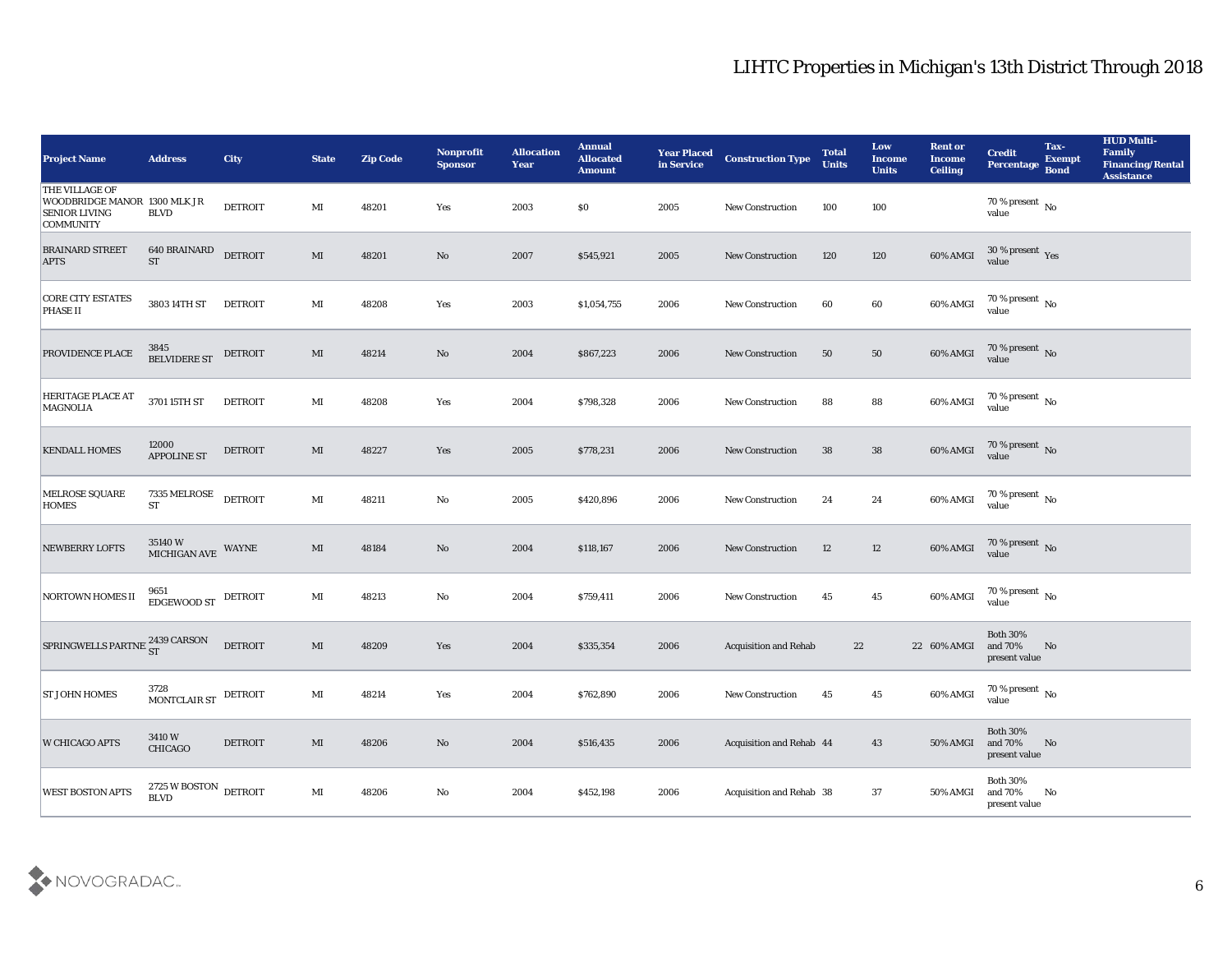| <b>Project Name</b>                                                                               | <b>Address</b>                           | <b>City</b>    | <b>State</b>           | <b>Zip Code</b> | Nonprofit<br><b>Sponsor</b> | <b>Allocation</b><br><b>Year</b> | <b>Annual</b><br><b>Allocated</b><br><b>Amount</b> | <b>Year Placed</b><br>in Service | <b>Construction Type</b>     | <b>Total</b><br><b>Units</b> | Low<br>Income<br><b>Units</b> | <b>Rent or</b><br><b>Income</b><br><b>Ceiling</b> | <b>Credit</b><br><b>Percentage</b>          | Tax-<br><b>Exempt</b><br><b>Bond</b> | <b>HUD Multi-</b><br>Family<br><b>Financing/Rental</b><br><b>Assistance</b> |
|---------------------------------------------------------------------------------------------------|------------------------------------------|----------------|------------------------|-----------------|-----------------------------|----------------------------------|----------------------------------------------------|----------------------------------|------------------------------|------------------------------|-------------------------------|---------------------------------------------------|---------------------------------------------|--------------------------------------|-----------------------------------------------------------------------------|
| <b>THE VILLAGE OF</b><br>WOODBRIDGE MANOR 1300 MLK JR<br><b>SENIOR LIVING</b><br><b>COMMUNITY</b> | <b>BLVD</b>                              | <b>DETROIT</b> | MI                     | 48201           | Yes                         | 2003                             | $\$0$                                              | 2005                             | New Construction             | 100                          | 100                           |                                                   | $70\,\%$ present $\,$ No value              |                                      |                                                                             |
| <b>BRAINARD STREET</b><br><b>APTS</b>                                                             | 640 BRAINARD<br><b>ST</b>                | <b>DETROIT</b> | MI                     | 48201           | No                          | 2007                             | \$545,921                                          | 2005                             | <b>New Construction</b>      | 120                          | 120                           | 60% AMGI                                          | $30\,\%$ present $\,$ Yes value             |                                      |                                                                             |
| <b>CORE CITY ESTATES</b><br><b>PHASE II</b>                                                       | 3803 14TH ST                             | <b>DETROIT</b> | $\mathbf{M}\mathbf{I}$ | 48208           | Yes                         | 2003                             | \$1,054,755                                        | 2006                             | <b>New Construction</b>      | 60                           | 60                            | 60% AMGI                                          | $70\,\%$ present $\,$ No value              |                                      |                                                                             |
| PROVIDENCE PLACE                                                                                  | 3845<br>BELVIDERE ST                     | <b>DETROIT</b> | MI                     | 48214           | No                          | 2004                             | \$867,223                                          | 2006                             | <b>New Construction</b>      | 50                           | 50                            | 60% AMGI                                          | $70\,\%$ present $\,$ No value              |                                      |                                                                             |
| <b>HERITAGE PLACE AT</b><br><b>MAGNOLIA</b>                                                       | 3701 15TH ST                             | <b>DETROIT</b> | MI                     | 48208           | Yes                         | 2004                             | \$798,328                                          | 2006                             | <b>New Construction</b>      | 88                           | 88                            | 60% AMGI                                          | $70\,\%$ present $\,$ No value              |                                      |                                                                             |
| <b>KENDALL HOMES</b>                                                                              | 12000<br><b>APPOLINE ST</b>              | <b>DETROIT</b> | MI                     | 48227           | Yes                         | 2005                             | \$778,231                                          | 2006                             | <b>New Construction</b>      | 38                           | 38                            | 60% AMGI                                          | $70\,\%$ present $\,$ No value              |                                      |                                                                             |
| MELROSE SQUARE<br><b>HOMES</b>                                                                    | 7335 MELROSE<br><b>ST</b>                | <b>DETROIT</b> | MI                     | 48211           | No                          | 2005                             | \$420,896                                          | 2006                             | <b>New Construction</b>      | 24                           | 24                            | 60% AMGI                                          | $70\%$ present No value                     |                                      |                                                                             |
| <b>NEWBERRY LOFTS</b>                                                                             | 35140 W<br>MICHIGAN AVE                  | WAYNE          | MI                     | 48184           | No                          | 2004                             | \$118,167                                          | 2006                             | <b>New Construction</b>      | 12                           | 12                            | 60% AMGI                                          | $70\,\%$ present $_{\rm No}$ value          |                                      |                                                                             |
| NORTOWN HOMES II                                                                                  | 9651<br>EDGEWOOD ST                      | DETROIT        | MI                     | 48213           | No                          | 2004                             | \$759,411                                          | 2006                             | <b>New Construction</b>      | 45                           | 45                            | 60% AMGI                                          | $70\,\%$ present $\,$ No value              |                                      |                                                                             |
| ${\small \bf SPRINGWELLS \textbf{ PARTNE} }^{\textbf{2439}} {\small \bf{CARSON} }$                |                                          | <b>DETROIT</b> | MI                     | 48209           | Yes                         | 2004                             | \$335,354                                          | 2006                             | <b>Acquisition and Rehab</b> | 22                           |                               | 22 60% AMGI                                       | <b>Both 30%</b><br>and 70%<br>present value | No                                   |                                                                             |
| <b>ST JOHN HOMES</b>                                                                              | 3728<br>MONTCLAIR ST DETROIT             |                | MI                     | 48214           | Yes                         | 2004                             | \$762,890                                          | 2006                             | <b>New Construction</b>      | 45                           | 45                            | 60% AMGI                                          | 70 % present $\,$ No $\,$<br>value          |                                      |                                                                             |
| <b>W CHICAGO APTS</b>                                                                             | $3410\,\mathrm{W}$<br>CHICAGO            | $\rm DETROIT$  | $\mathbf{M}\mathbf{I}$ | 48206           | $\mathbf {No}$              | 2004                             | \$516,435                                          | 2006                             | Acquisition and Rehab 44     |                              | 43                            | 50% AMGI                                          | Both $30\%$<br>and $70\%$<br>present value  | No                                   |                                                                             |
| <b>WEST BOSTON APTS</b>                                                                           | $2725\,\mathrm{W}$ BOSTON<br><b>BLVD</b> | <b>DETROIT</b> | $\mathbf{M}\mathbf{I}$ | 48206           | ${\bf No}$                  | 2004                             | \$452,198                                          | 2006                             | Acquisition and Rehab 38     |                              | 37                            | 50% AMGI                                          | Both $30\%$<br>and $70\%$<br>present value  | $\mathbf{N}\mathbf{o}$               |                                                                             |

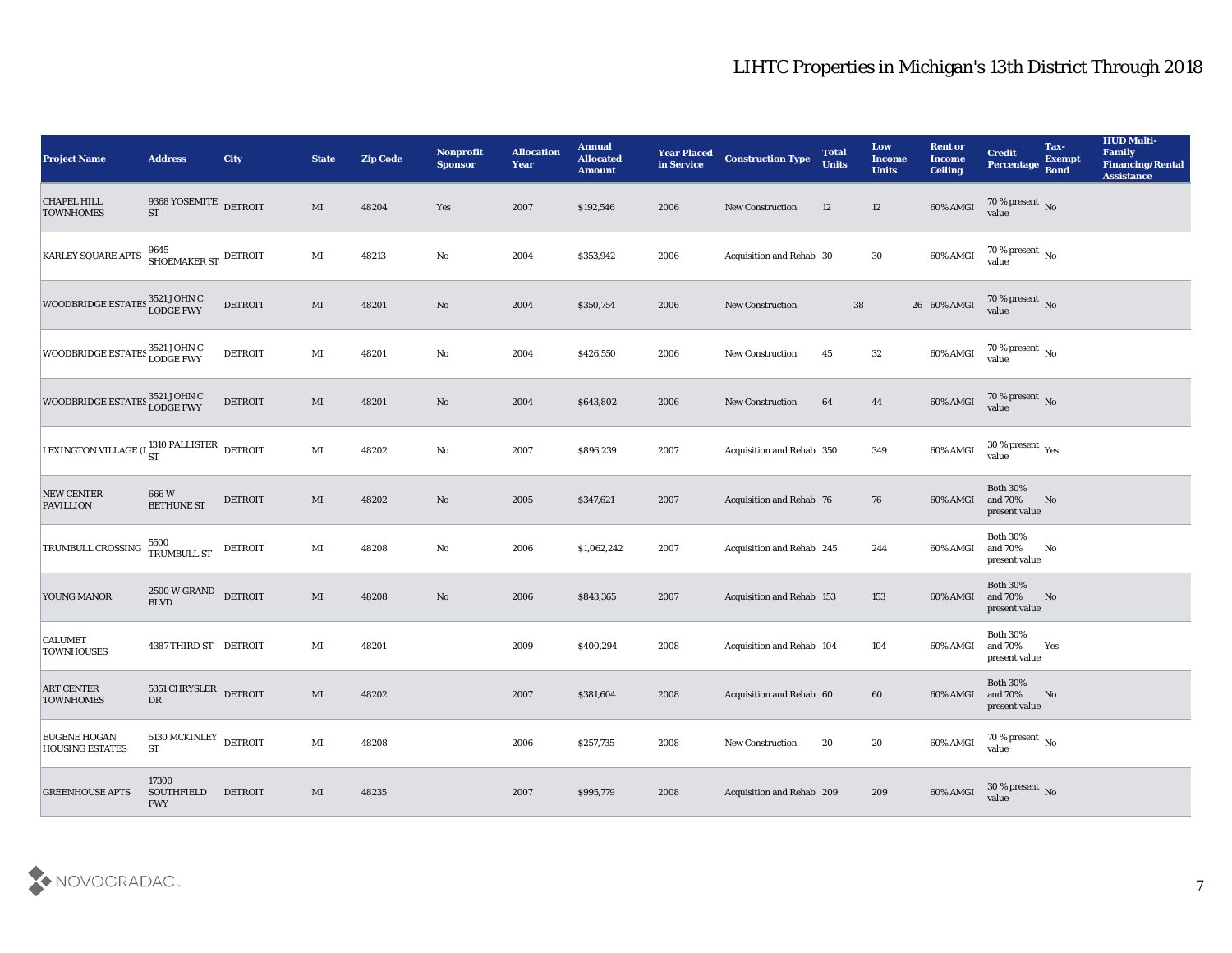| <b>Project Name</b>                                            | <b>Address</b>                                         | <b>City</b>    | <b>State</b>           | <b>Zip Code</b> | <b>Nonprofit</b><br><b>Sponsor</b> | <b>Allocation</b><br><b>Year</b> | <b>Annual</b><br><b>Allocated</b><br><b>Amount</b> | <b>Year Placed</b><br>in Service | <b>Construction Type</b>  | <b>Total</b><br><b>Units</b> | Low<br>Income<br><b>Units</b> | <b>Rent or</b><br><b>Income</b><br><b>Ceiling</b> | <b>Credit</b><br>Percentage                 | Tax-<br><b>Exempt</b><br><b>Bond</b> | <b>HUD Multi-</b><br>Family<br><b>Financing/Rental</b><br><b>Assistance</b> |
|----------------------------------------------------------------|--------------------------------------------------------|----------------|------------------------|-----------------|------------------------------------|----------------------------------|----------------------------------------------------|----------------------------------|---------------------------|------------------------------|-------------------------------|---------------------------------------------------|---------------------------------------------|--------------------------------------|-----------------------------------------------------------------------------|
| <b>CHAPEL HILL</b><br><b>TOWNHOMES</b>                         | 9368 YOSEMITE DETROIT<br><b>ST</b>                     |                | MI                     | 48204           | Yes                                | 2007                             | \$192,546                                          | 2006                             | <b>New Construction</b>   | 12                           | 12                            | 60% AMGI                                          | $70\,\%$ present $\,$ No value              |                                      |                                                                             |
| KARLEY SQUARE APTS                                             | $9645$ SHOEMAKER ST $\,$ DETROIT                       |                | $\mathbf{M}\mathbf{I}$ | 48213           | No                                 | 2004                             | \$353,942                                          | 2006                             | Acquisition and Rehab 30  |                              | 30                            | 60% AMGI                                          | $70\,\%$ present $\,$ No value              |                                      |                                                                             |
| WOODBRIDGE ESTATES 3521 JOHN C                                 |                                                        | <b>DETROIT</b> | $\mathbf{M}\mathbf{I}$ | 48201           | No                                 | 2004                             | \$350,754                                          | 2006                             | New Construction          | 38                           |                               | 26 60% AMGI                                       | $70\,\%$ present $\,$ No value              |                                      |                                                                             |
| WOODBRIDGE ESTATES 3521 JOHN C                                 |                                                        | <b>DETROIT</b> | $\mathbf{M}\mathbf{I}$ | 48201           | No                                 | 2004                             | \$426,550                                          | 2006                             | <b>New Construction</b>   | 45                           | 32                            | 60% AMGI                                          | $70\,\%$ present $\,$ No value              |                                      |                                                                             |
| WOODBRIDGE ESTATES 3521 JOHN C<br>LODGE FWY                    |                                                        | <b>DETROIT</b> | $\mathbf{M}\mathbf{I}$ | 48201           | No                                 | 2004                             | \$643,802                                          | 2006                             | <b>New Construction</b>   | 64                           | 44                            | 60% AMGI                                          | $70\,\%$ present $\,$ No value              |                                      |                                                                             |
| LEXINGTON VILLAGE (I $_{\rm ST}^{1310\; \rm PALISTER}$ detroit |                                                        |                | $\mathbf{M}\mathbf{I}$ | 48202           | No                                 | 2007                             | \$896,239                                          | 2007                             | Acquisition and Rehab 350 |                              | 349                           | 60% AMGI                                          | $30\,\%$ present $\,$ Yes value             |                                      |                                                                             |
| NEW CENTER<br><b>PAVILLION</b>                                 | 666W<br><b>BETHUNE ST</b>                              | DETROIT        | $\mathbf{M}\mathbf{I}$ | 48202           | No                                 | 2005                             | \$347,621                                          | 2007                             | Acquisition and Rehab 76  |                              | 76                            | 60% AMGI                                          | <b>Both 30%</b><br>and 70%<br>present value | No                                   |                                                                             |
| <b>TRUMBULL CROSSING</b>                                       | 5500<br>TRUMBULL ST                                    | <b>DETROIT</b> | $\mathbf{M}\mathbf{I}$ | 48208           | No                                 | 2006                             | \$1,062,242                                        | 2007                             | Acquisition and Rehab 245 |                              | 244                           | 60% AMGI                                          | <b>Both 30%</b><br>and 70%<br>present value | No                                   |                                                                             |
| YOUNG MANOR                                                    | 2500 W GRAND<br><b>BLVD</b>                            | <b>DETROIT</b> | $\mathbf{M}\mathbf{I}$ | 48208           | $\mathbf{N}\mathbf{o}$             | 2006                             | \$843,365                                          | 2007                             | Acquisition and Rehab 153 |                              | 153                           | 60% AMGI                                          | <b>Both 30%</b><br>and 70%<br>present value | No                                   |                                                                             |
| <b>CALUMET</b><br><b>TOWNHOUSES</b>                            | 4387 THIRD ST DETROIT                                  |                | MI                     | 48201           |                                    | 2009                             | \$400,294                                          | 2008                             | Acquisition and Rehab 104 |                              | 104                           | 60% AMGI                                          | <b>Both 30%</b><br>and 70%<br>present value | Yes                                  |                                                                             |
| <b>ART CENTER</b><br><b>TOWNHOMES</b>                          | 5351 CHRYSLER DETROIT<br>${\rm D}{\rm R}$              |                | MI                     | 48202           |                                    | 2007                             | \$381,604                                          | 2008                             | Acquisition and Rehab 60  |                              | 60                            | 60% AMGI and 70%                                  | <b>Both 30%</b><br>present value            | No                                   |                                                                             |
| <b>EUGENE HOGAN</b><br><b>HOUSING ESTATES</b>                  | $5130\,\mathrm{MCKINLEY}\xspace$ DETROIT<br>${\rm ST}$ |                | $\mathbf{M}\mathbf{I}$ | 48208           |                                    | 2006                             | \$257,735                                          | 2008                             | New Construction          | 20                           | ${\bf 20}$                    | 60% AMGI                                          | $70\,\%$ present $\,$ No value              |                                      |                                                                             |
| <b>GREENHOUSE APTS</b>                                         | 17300<br><b>SOUTHFIELD</b><br><b>FWY</b>               | <b>DETROIT</b> | $\mathbf{M}\mathbf{I}$ | 48235           |                                    | 2007                             | \$995,779                                          | 2008                             | Acquisition and Rehab 209 |                              | 209                           | 60% AMGI                                          | $30\,\%$ present $\,$ No value              |                                      |                                                                             |
|                                                                |                                                        |                |                        |                 |                                    |                                  |                                                    |                                  |                           |                              |                               |                                                   |                                             |                                      |                                                                             |

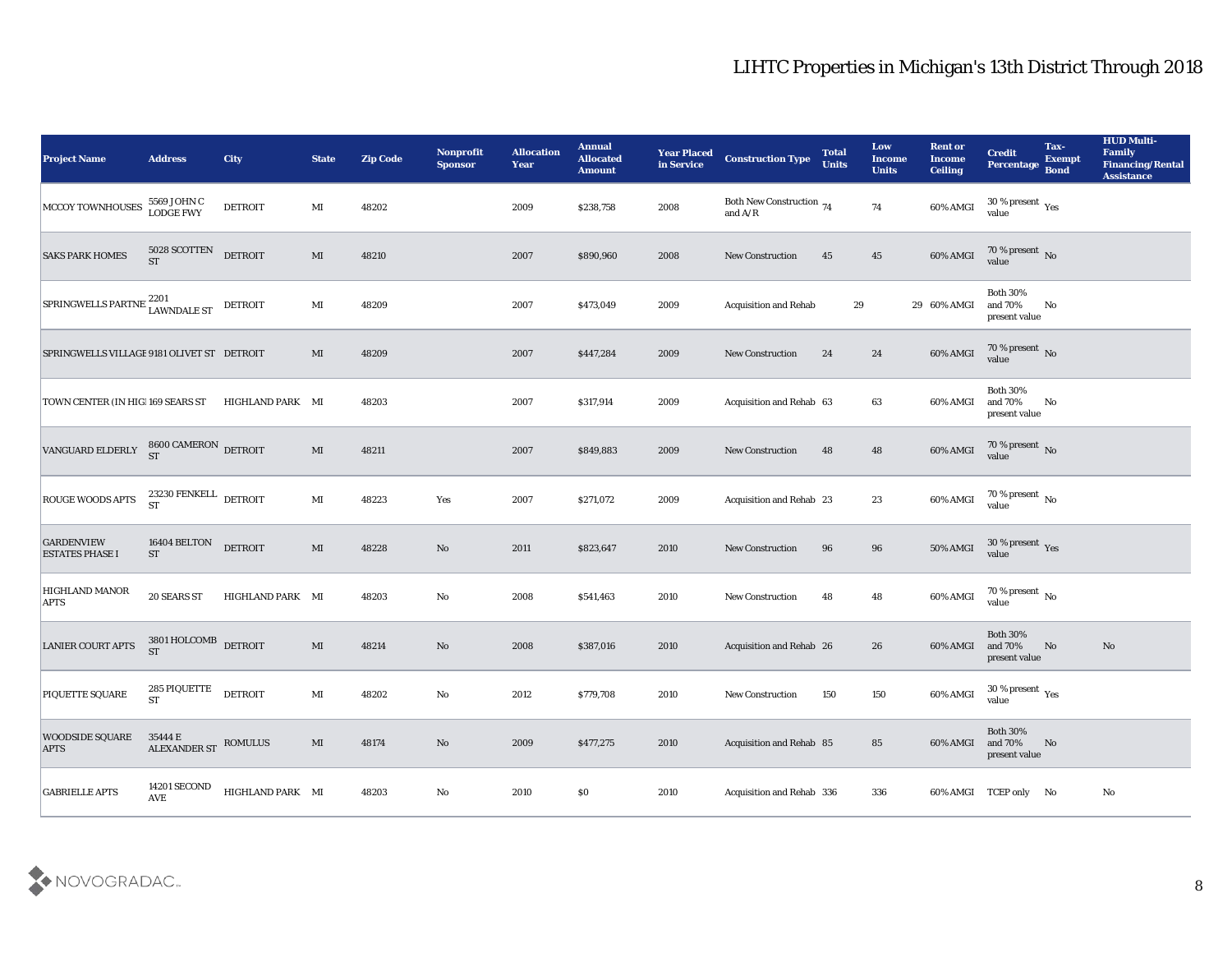| <b>Project Name</b>                         | <b>Address</b>                                       | <b>City</b>      | <b>State</b>           | <b>Zip Code</b> | Nonprofit<br><b>Sponsor</b> | <b>Allocation</b><br><b>Year</b> | <b>Annual</b><br><b>Allocated</b><br><b>Amount</b> | <b>Year Placed</b><br>in Service | <b>Construction Type</b>                                                                        | <b>Total</b><br><b>Units</b> | Low<br><b>Income</b><br><b>Units</b> | <b>Rent or</b><br><b>Income</b><br><b>Ceiling</b> | <b>Credit</b><br>Percentage                   | Tax-<br><b>Exempt</b><br><b>Bond</b> | <b>HUD Multi-</b><br>Family<br><b>Financing/Rental</b><br><b>Assistance</b> |
|---------------------------------------------|------------------------------------------------------|------------------|------------------------|-----------------|-----------------------------|----------------------------------|----------------------------------------------------|----------------------------------|-------------------------------------------------------------------------------------------------|------------------------------|--------------------------------------|---------------------------------------------------|-----------------------------------------------|--------------------------------------|-----------------------------------------------------------------------------|
| MCCOY TOWNHOUSES                            | 5569 JOHN C<br><b>LODGE FWY</b>                      | <b>DETROIT</b>   | MI                     | 48202           |                             | 2009                             | \$238,758                                          | 2008                             | Both New Construction 74<br>and $\ensuremath{\mathrm{A}}\xspace/\ensuremath{\mathrm{R}}\xspace$ |                              | 74                                   | 60% AMGI                                          | $30\,\%$ present $\,$ Yes value               |                                      |                                                                             |
| <b>SAKS PARK HOMES</b>                      | 5028 SCOTTEN<br>ST                                   | <b>DETROIT</b>   | MI                     | 48210           |                             | 2007                             | \$890,960                                          | 2008                             | <b>New Construction</b>                                                                         | 45                           | 45                                   | 60% AMGI                                          | $70\,\%$ present $\,$ No value                |                                      |                                                                             |
| SPRINGWELLS PARTNE 2201<br>LAWNDALE ST      |                                                      | DETROIT          | MI                     | 48209           |                             | 2007                             | \$473,049                                          | 2009                             | <b>Acquisition and Rehab</b>                                                                    | 29                           |                                      | 29 60% AMGI                                       | <b>Both 30%</b><br>and 70%<br>present value   | No                                   |                                                                             |
| SPRINGWELLS VILLAGE 9181 OLIVET ST DETROIT  |                                                      |                  | MI                     | 48209           |                             | 2007                             | \$447,284                                          | 2009                             | New Construction                                                                                | 24                           | 24                                   | 60% AMGI                                          | $70\,\%$ present $\,$ No value                |                                      |                                                                             |
| TOWN CENTER (IN HIG 169 SEARS ST            |                                                      | HIGHLAND PARK MI |                        | 48203           |                             | 2007                             | \$317,914                                          | 2009                             | Acquisition and Rehab 63                                                                        |                              | 63                                   | 60% AMGI                                          | <b>Both 30%</b><br>and 70%<br>present value   | No                                   |                                                                             |
| VANGUARD ELDERLY                            | $8600$ CAMERON $\,$ DETROIT ST                       |                  | MI                     | 48211           |                             | 2007                             | \$849,883                                          | 2009                             | <b>New Construction</b>                                                                         | 48                           | 48                                   | 60% AMGI                                          | $70\,\%$ present $\,$ No value                |                                      |                                                                             |
| <b>ROUGE WOODS APTS</b>                     | 23230 FENKELL DETROIT<br><b>ST</b>                   |                  | $\mathbf{M}\mathbf{I}$ | 48223           | Yes                         | 2007                             | \$271,072                                          | 2009                             | Acquisition and Rehab 23                                                                        |                              | 23                                   | 60% AMGI                                          | $70$ % present $\,$ No $\,$ value             |                                      |                                                                             |
| <b>GARDENVIEW</b><br><b>ESTATES PHASE I</b> | 16404 BELTON<br><b>ST</b>                            | <b>DETROIT</b>   | $\mathbf{M}\mathbf{I}$ | 48228           | No                          | 2011                             | \$823,647                                          | 2010                             | <b>New Construction</b>                                                                         | 96                           | 96                                   | 50% AMGI                                          | $30\,\%$ present $\,$ Yes value               |                                      |                                                                             |
| <b>HIGHLAND MANOR</b><br><b>APTS</b>        | <b>20 SEARS ST</b>                                   | HIGHLAND PARK MI |                        | 48203           | No                          | 2008                             | \$541,463                                          | 2010                             | New Construction                                                                                | 48                           | 48                                   | 60% AMGI                                          | $70\,\%$ present $\,$ No value                |                                      |                                                                             |
| <b>LANIER COURT APTS</b>                    | $3801\,\mbox{HOLCOMB}$ DETROIT<br><b>ST</b>          |                  | $\mathbf{M}\mathbf{I}$ | 48214           | No                          | 2008                             | \$387,016                                          | 2010                             | Acquisition and Rehab 26                                                                        |                              | 26                                   | 60% AMGI                                          | <b>Both 30%</b><br>and 70%<br>present value   | No                                   | No                                                                          |
| PIQUETTE SQUARE                             | 285 PIQUETTE<br><b>ST</b>                            | <b>DETROIT</b>   | MI                     | 48202           | No                          | 2012                             | \$779,708                                          | 2010                             | <b>New Construction</b>                                                                         | 150                          | 150                                  | 60% AMGI                                          | 30 % present $\,\rm \gamma_{\rm es}$<br>value |                                      |                                                                             |
| <b>WOODSIDE SQUARE</b><br><b>APTS</b>       | 35444 E<br>ALEXANDER ST ROMULUS                      |                  | $\mathbf{M}$           | 48174           | $\mathbf {No}$              | 2009                             | \$477,275                                          | 2010                             | Acquisition and Rehab 85                                                                        |                              | 85                                   | 60% AMGI                                          | <b>Both 30%</b><br>and 70%<br>present value   | No                                   |                                                                             |
| <b>GABRIELLE APTS</b>                       | <b>14201 SECOND</b><br>$\operatorname{\mathbf{AVE}}$ | HIGHLAND PARK MI |                        | 48203           | $\mathbf {No}$              | 2010                             | \$0                                                | 2010                             | Acquisition and Rehab 336                                                                       |                              | 336                                  |                                                   | 60% AMGI TCEP only No                         |                                      | No                                                                          |

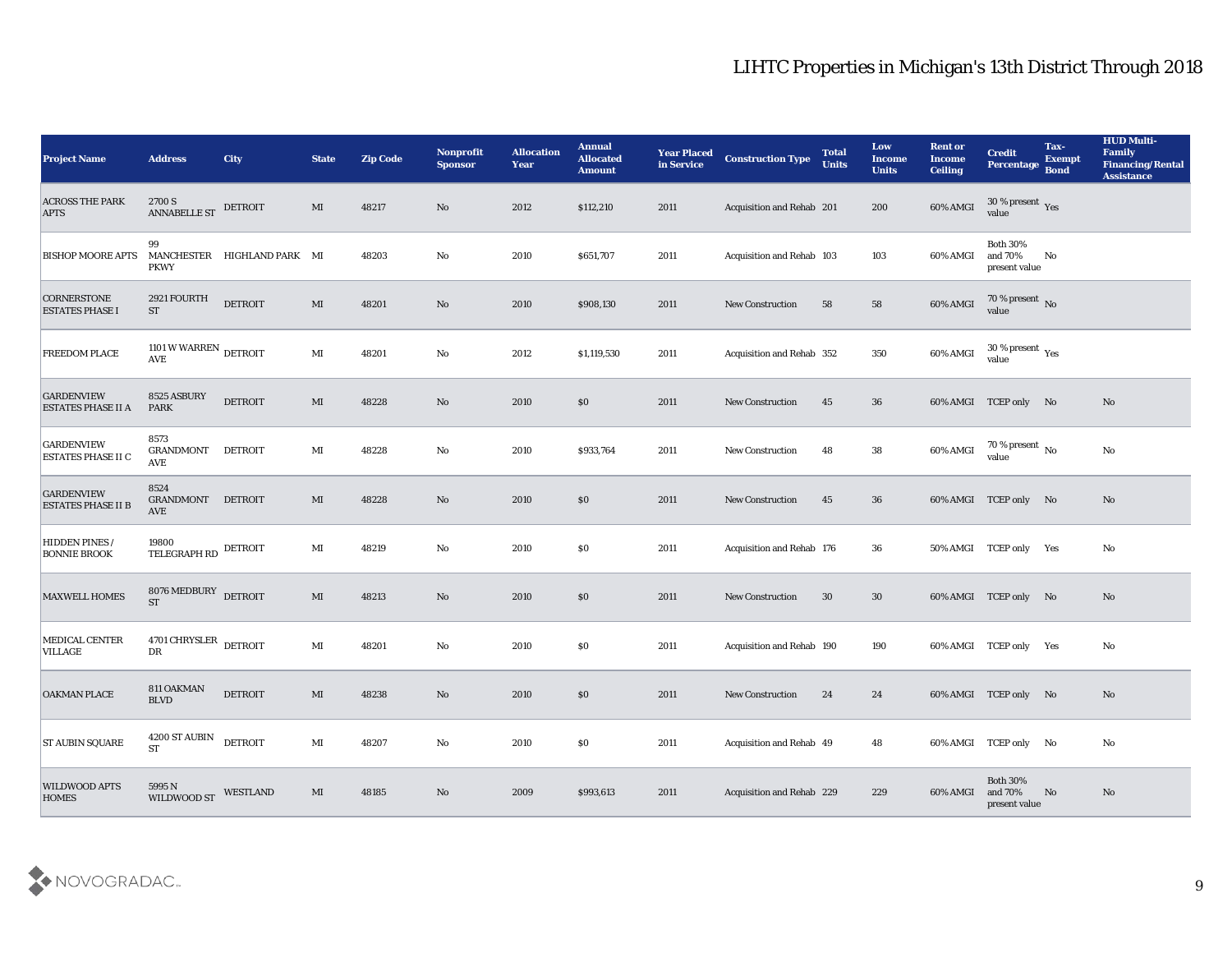| <b>Project Name</b>                            | <b>Address</b>                                         | <b>City</b>                 | <b>State</b>           | <b>Zip Code</b> | Nonprofit<br><b>Sponsor</b> | <b>Allocation</b><br><b>Year</b> | <b>Annual</b><br><b>Allocated</b><br><b>Amount</b> | <b>Year Placed</b><br>in Service | <b>Construction Type</b>  | <b>Total</b><br><b>Units</b> | Low<br><b>Income</b><br><b>Units</b> | <b>Rent or</b><br><b>Income</b><br><b>Ceiling</b> | <b>Credit</b><br><b>Percentage</b>          | Tax-<br><b>Exempt</b><br><b>Bond</b> | <b>HUD Multi-</b><br>Family<br><b>Financing/Rental</b><br><b>Assistance</b> |
|------------------------------------------------|--------------------------------------------------------|-----------------------------|------------------------|-----------------|-----------------------------|----------------------------------|----------------------------------------------------|----------------------------------|---------------------------|------------------------------|--------------------------------------|---------------------------------------------------|---------------------------------------------|--------------------------------------|-----------------------------------------------------------------------------|
| <b>ACROSS THE PARK</b><br><b>APTS</b>          | 2700 S<br><b>ANNABELLE ST</b>                          | DETROIT                     | MI                     | 48217           | No                          | 2012                             | \$112,210                                          | 2011                             | Acquisition and Rehab 201 |                              | 200                                  | 60% AMGI                                          | $30\,\%$ present $\,$ Yes value             |                                      |                                                                             |
| <b>BISHOP MOORE APTS</b>                       | 99<br><b>PKWY</b>                                      | MANCHESTER HIGHLAND PARK MI |                        | 48203           | No                          | 2010                             | \$651,707                                          | 2011                             | Acquisition and Rehab 103 |                              | 103                                  | 60% AMGI                                          | <b>Both 30%</b><br>and 70%<br>present value | No                                   |                                                                             |
| <b>CORNERSTONE</b><br><b>ESTATES PHASE I</b>   | 2921 FOURTH<br><b>ST</b>                               | <b>DETROIT</b>              | $\mathbf{M}\mathbf{I}$ | 48201           | No                          | 2010                             | \$908,130                                          | 2011                             | <b>New Construction</b>   | 58                           | 58                                   | 60% AMGI                                          | $70\,\%$ present $\,$ No value              |                                      |                                                                             |
| FREEDOM PLACE                                  | 1101 W WARREN $_{\rm DETROIT}$<br>$\operatorname{AVE}$ |                             | MI                     | 48201           | No                          | 2012                             | \$1,119,530                                        | 2011                             | Acquisition and Rehab 352 |                              | 350                                  | 60% AMGI                                          | $30\,\%$ present $\,$ Yes value             |                                      |                                                                             |
| <b>GARDENVIEW</b><br><b>ESTATES PHASE II A</b> | 8525 ASBURY<br><b>PARK</b>                             | <b>DETROIT</b>              | MI                     | 48228           | No                          | 2010                             | $\$0$                                              | 2011                             | <b>New Construction</b>   | 45                           | 36                                   |                                                   | 60% AMGI TCEP only No                       |                                      | No                                                                          |
| <b>GARDENVIEW</b><br><b>ESTATES PHASE II C</b> | 8573<br><b>GRANDMONT</b><br>AVE                        | DETROIT                     | MI                     | 48228           | No                          | 2010                             | \$933,764                                          | 2011                             | <b>New Construction</b>   | 48                           | 38                                   | 60% AMGI                                          | 70 % present $\,$ No $\,$<br>value          |                                      | No                                                                          |
| <b>GARDENVIEW</b><br><b>ESTATES PHASE II B</b> | 8524<br><b>GRANDMONT</b><br>AVE                        | <b>DETROIT</b>              | MI                     | 48228           | No                          | 2010                             | $\$0$                                              | 2011                             | <b>New Construction</b>   | 45                           | 36                                   |                                                   | 60% AMGI TCEP only No                       |                                      | No                                                                          |
| <b>HIDDEN PINES /</b><br><b>BONNIE BROOK</b>   | 19800<br>TELEGRAPH RD DETROIT                          |                             | MI                     | 48219           | No                          | 2010                             | \$0\$                                              | 2011                             | Acquisition and Rehab 176 |                              | 36                                   |                                                   | 50% AMGI TCEP only Yes                      |                                      | No                                                                          |
| <b>MAXWELL HOMES</b>                           | 8076 MEDBURY<br><b>ST</b>                              | <b>DETROIT</b>              | MI                     | 48213           | No                          | 2010                             | \$0\$                                              | 2011                             | <b>New Construction</b>   | 30                           | 30                                   |                                                   | 60% AMGI TCEP only No                       |                                      | No                                                                          |
| <b>MEDICAL CENTER</b><br><b>VILLAGE</b>        | 4701 CHRYSLER<br>DR                                    | <b>DETROIT</b>              | MI                     | 48201           | No                          | 2010                             | \$0                                                | 2011                             | Acquisition and Rehab 190 |                              | 190                                  |                                                   | 60% AMGI TCEP only Yes                      |                                      | No                                                                          |
| <b>OAKMAN PLACE</b>                            | 811 OAKMAN<br><b>BLVD</b>                              | <b>DETROIT</b>              | MI                     | 48238           | No                          | 2010                             | $\$0$                                              | 2011                             | <b>New Construction</b>   | 24                           | 24                                   |                                                   | 60% AMGI TCEP only No                       |                                      | No                                                                          |
| <b>ST AUBIN SQUARE</b>                         | 4200 ST AUBIN<br><b>ST</b>                             | <b>DETROIT</b>              | $\mathbf{M}\mathbf{I}$ | 48207           | ${\bf No}$                  | 2010                             | \$0\$                                              | 2011                             | Acquisition and Rehab 49  |                              | 48                                   |                                                   | 60% AMGI TCEP only No                       |                                      | No                                                                          |
| <b>WILDWOOD APTS</b><br><b>HOMES</b>           | 5995N<br>WILDWOOD ST                                   | WESTLAND                    | MI                     | 48185           | $\mathbf{N}\mathbf{o}$      | 2009                             | \$993,613                                          | 2011                             | Acquisition and Rehab 229 |                              | 229                                  | 60% AMGI                                          | <b>Both 30%</b><br>and 70%<br>present value | No                                   | No                                                                          |

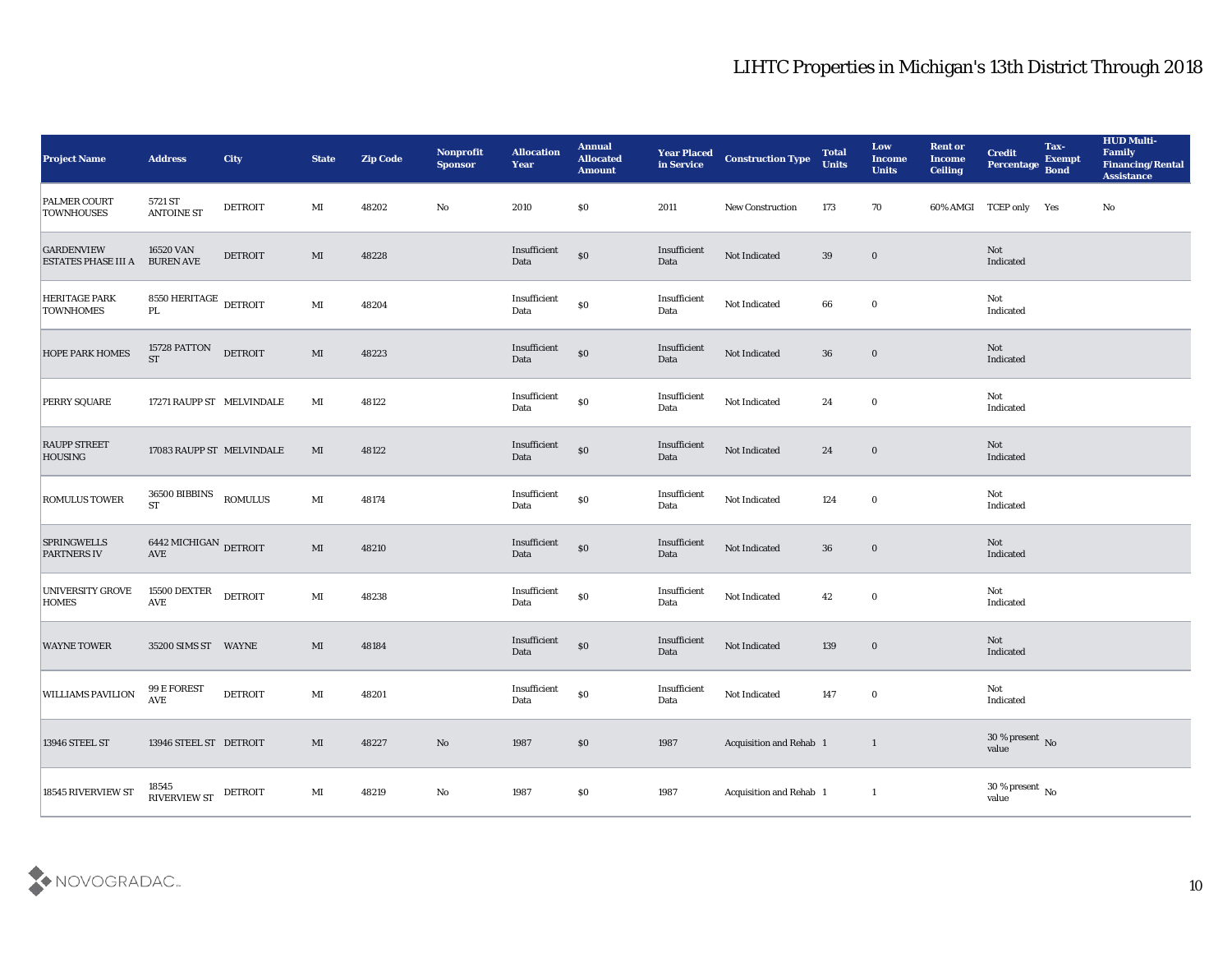| <b>Project Name</b>                             | <b>Address</b>                                  | <b>City</b>    | <b>State</b>           | <b>Zip Code</b> | Nonprofit<br><b>Sponsor</b> | <b>Allocation</b><br><b>Year</b> | <b>Annual</b><br><b>Allocated</b><br><b>Amount</b> | <b>Year Placed<br/>in Service</b> | <b>Construction Type</b> | <b>Total</b><br><b>Units</b> | Low<br><b>Income</b><br><b>Units</b> | <b>Rent or</b><br><b>Income</b><br><b>Ceiling</b> | <b>Credit</b><br>Percentage    | Tax-<br><b>Exempt</b><br><b>Bond</b> | <b>HUD Multi-</b><br>Family<br><b>Financing/Rental</b><br><b>Assistance</b> |
|-------------------------------------------------|-------------------------------------------------|----------------|------------------------|-----------------|-----------------------------|----------------------------------|----------------------------------------------------|-----------------------------------|--------------------------|------------------------------|--------------------------------------|---------------------------------------------------|--------------------------------|--------------------------------------|-----------------------------------------------------------------------------|
| <b>PALMER COURT</b><br><b>TOWNHOUSES</b>        | 5721 ST<br><b>ANTOINE ST</b>                    | <b>DETROIT</b> | MI                     | 48202           | No                          | 2010                             | $\$0$                                              | 2011                              | <b>New Construction</b>  | 173                          | 70                                   |                                                   | 60% AMGI TCEP only Yes         |                                      | No                                                                          |
| <b>GARDENVIEW</b><br><b>ESTATES PHASE III A</b> | 16520 VAN<br><b>BUREN AVE</b>                   | <b>DETROIT</b> | $\mathbf{M}$           | 48228           |                             | Insufficient<br>Data             | $\$0$                                              | Insufficient<br>Data              | Not Indicated            | 39                           | $\bf{0}$                             |                                                   | Not<br>Indicated               |                                      |                                                                             |
| <b>HERITAGE PARK</b><br><b>TOWNHOMES</b>        | $8550\,{\rm HERITAGE}$ DETROIT<br>$\mathbf{PL}$ |                | MI                     | 48204           |                             | Insufficient<br>Data             | $\$0$                                              | Insufficient<br>Data              | Not Indicated            | 66                           | $\bf{0}$                             |                                                   | Not<br>Indicated               |                                      |                                                                             |
| <b>HOPE PARK HOMES</b>                          | 15728 PATTON<br><b>ST</b>                       | <b>DETROIT</b> | $\mathbf{M}\mathbf{I}$ | 48223           |                             | Insufficient<br>Data             | $\$0$                                              | Insufficient<br>Data              | Not Indicated            | 36                           | $\bf{0}$                             |                                                   | Not<br>Indicated               |                                      |                                                                             |
| <b>PERRY SQUARE</b>                             | 17271 RAUPP ST MELVINDALE                       |                | MI                     | 48122           |                             | Insufficient<br>Data             | $\boldsymbol{\mathsf{S}}\boldsymbol{\mathsf{O}}$   | Insufficient<br>Data              | Not Indicated            | 24                           | $\bf{0}$                             |                                                   | Not<br>Indicated               |                                      |                                                                             |
| <b>RAUPP STREET</b><br><b>HOUSING</b>           | 17083 RAUPP ST MELVINDALE                       |                | MI                     | 48122           |                             | Insufficient<br>Data             | $\boldsymbol{\mathsf{S}}\boldsymbol{\mathsf{O}}$   | Insufficient<br>Data              | Not Indicated            | 24                           | $\bf{0}$                             |                                                   | Not<br>Indicated               |                                      |                                                                             |
| <b>ROMULUS TOWER</b>                            | 36500 BIBBINS<br><b>ST</b>                      | <b>ROMULUS</b> | MI                     | 48174           |                             | Insufficient<br>Data             | $\$0$                                              | Insufficient<br>Data              | Not Indicated            | 124                          | $\bf{0}$                             |                                                   | Not<br>Indicated               |                                      |                                                                             |
| <b>SPRINGWELLS</b><br><b>PARTNERS IV</b>        | $6442\rm~MICHIGAN$ DETROIT AVE                  |                | $\mathbf{M}\mathbf{I}$ | 48210           |                             | Insufficient<br>Data             | $\$0$                                              | Insufficient<br>Data              | Not Indicated            | 36                           | $\bf{0}$                             |                                                   | Not<br>Indicated               |                                      |                                                                             |
| <b>UNIVERSITY GROVE</b><br><b>HOMES</b>         | 15500 DEXTER<br>$\operatorname{AVE}$            | <b>DETROIT</b> | $\mathbf{M}$ I         | 48238           |                             | Insufficient<br>Data             | $\$0$                                              | Insufficient<br>Data              | Not Indicated            | 42                           | $\bf{0}$                             |                                                   | Not<br>Indicated               |                                      |                                                                             |
| <b>WAYNE TOWER</b>                              | 35200 SIMS ST WAYNE                             |                | MI                     | 48184           |                             | Insufficient<br>Data             | $\$0$                                              | Insufficient<br>Data              | Not Indicated            | 139                          | $\bf{0}$                             |                                                   | Not<br>Indicated               |                                      |                                                                             |
| <b>WILLIAMS PAVILION</b>                        | 99 E FOREST<br>$\operatorname{AVE}$             | <b>DETROIT</b> | MI                     | 48201           |                             | Insufficient<br>Data             | $\$0$                                              | Insufficient<br>Data              | Not Indicated            | 147                          | $\bf{0}$                             |                                                   | Not<br>Indicated               |                                      |                                                                             |
| <b>13946 STEEL ST</b>                           | 13946 STEEL ST DETROIT                          |                | $\mathbf{M}\mathbf{I}$ | 48227           | $\mathbf {No}$              | 1987                             | $\$0$                                              | 1987                              | Acquisition and Rehab 1  |                              | $\mathbf{1}$                         |                                                   | $30\,\%$ present $\,$ No value |                                      |                                                                             |
| 18545 RIVERVIEW ST                              | 18545<br>RIVERVIEW ST                           | <b>DETROIT</b> | $\mathbf{M}\mathbf{I}$ | 48219           | ${\bf No}$                  | 1987                             | $\$0$                                              | 1987                              | Acquisition and Rehab 1  |                              | $\mathbf{1}$                         |                                                   | $30\,\%$ present $\,$ No value |                                      |                                                                             |

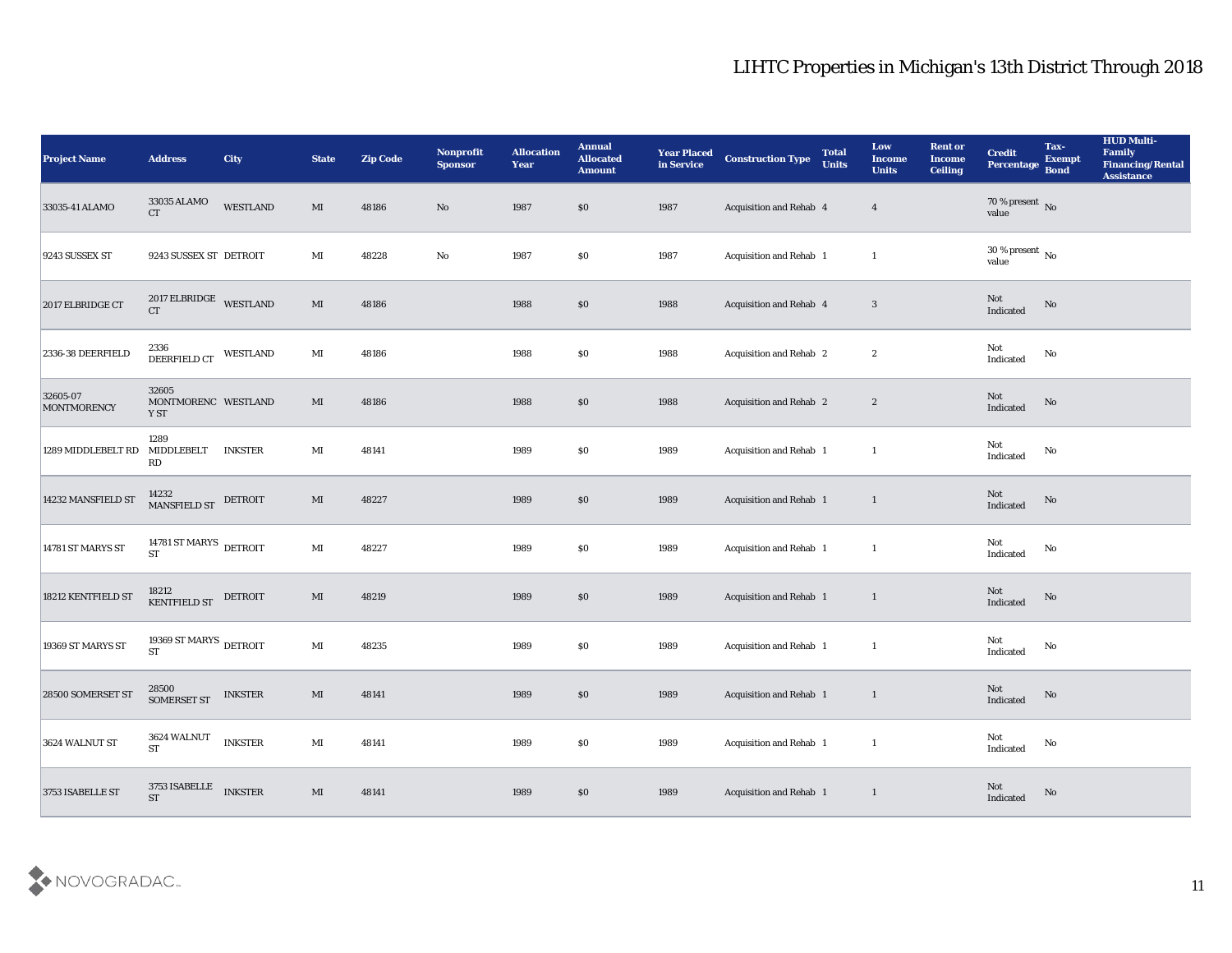| <b>Project Name</b>            | <b>Address</b>                                   | City           | <b>State</b>           | <b>Zip Code</b> | Nonprofit<br><b>Sponsor</b> | <b>Allocation</b><br><b>Year</b> | <b>Annual</b><br><b>Allocated</b><br><b>Amount</b> | <b>Year Placed</b><br>in Service | <b>Construction Type</b>       | <b>Total</b><br><b>Units</b> | Low<br><b>Income</b><br><b>Units</b> | <b>Rent or</b><br><b>Income</b><br><b>Ceiling</b> | <b>Credit</b><br>Percentage Bond      | Tax-<br><b>Exempt</b> | <b>HUD Multi-</b><br>Family<br><b>Financing/Rental</b><br><b>Assistance</b> |
|--------------------------------|--------------------------------------------------|----------------|------------------------|-----------------|-----------------------------|----------------------------------|----------------------------------------------------|----------------------------------|--------------------------------|------------------------------|--------------------------------------|---------------------------------------------------|---------------------------------------|-----------------------|-----------------------------------------------------------------------------|
| 33035-41 ALAMO                 | 33035 ALAMO<br>CT                                | WESTLAND       | $\mathbf{M}\mathbf{I}$ | 48186           | $\mathbf{N}\mathbf{o}$      | 1987                             | \$0                                                | 1987                             | Acquisition and Rehab 4        |                              | $\overline{4}$                       |                                                   | $70\,\%$ present $\,$ No value        |                       |                                                                             |
| <b>9243 SUSSEX ST</b>          | 9243 SUSSEX ST DETROIT                           |                | MI                     | 48228           | $\mathbf{No}$               | 1987                             | $\$0$                                              | 1987                             | Acquisition and Rehab 1        |                              | <sup>1</sup>                         |                                                   | $30\,\%$ present $\,$ No value        |                       |                                                                             |
| 2017 ELBRIDGE CT               | 2017 ELBRIDGE WESTLAND<br><b>CT</b>              |                | $\mathbf{M}\mathbf{I}$ | 48186           |                             | 1988                             | $\$0$                                              | 1988                             | <b>Acquisition and Rehab 4</b> |                              | $\mathbf{3}$                         |                                                   | Not<br>Indicated                      | No                    |                                                                             |
| 2336-38 DEERFIELD              | 2336<br>DEERFIELD CT                             | WESTLAND       | $\mathbf{M}\mathbf{I}$ | 48186           |                             | 1988                             | \$0                                                | 1988                             | <b>Acquisition and Rehab 2</b> |                              | $\boldsymbol{2}$                     |                                                   | Not<br>$\operatorname{Indicated}$     | No                    |                                                                             |
| 32605-07<br><b>MONTMORENCY</b> | 32605<br>MONTMORENC WESTLAND<br>Y ST             |                | MI                     | 48186           |                             | 1988                             | \$0                                                | 1988                             | <b>Acquisition and Rehab 2</b> |                              | $\boldsymbol{2}$                     |                                                   | Not<br>Indicated                      | No                    |                                                                             |
| 1289 MIDDLEBELT RD MIDDLEBELT  | 1289<br>RD                                       | <b>INKSTER</b> | MI                     | 48141           |                             | 1989                             | \$0                                                | 1989                             | Acquisition and Rehab 1        |                              | <sup>1</sup>                         |                                                   | Not<br>Indicated                      | No                    |                                                                             |
| 14232 MANSFIELD ST             | 14232 MANSFIELD ST DETROIT                       |                | $\mathbf{M}\mathbf{I}$ | 48227           |                             | 1989                             | $\$0$                                              | 1989                             | Acquisition and Rehab 1        |                              | $\mathbf{1}$                         |                                                   | Not<br>Indicated                      | No                    |                                                                             |
| 14781 ST MARYS ST              | 14781 ST MARYS $\rm_{\rm\,DETROIT}$<br><b>ST</b> |                | $\mathbf{M}$ I         | 48227           |                             | 1989                             | \$0                                                | 1989                             | Acquisition and Rehab 1        |                              | <sup>1</sup>                         |                                                   | Not<br>Indicated                      | No                    |                                                                             |
| 18212 KENTFIELD ST             | 18212<br>KENTFIELD ST                            | DETROIT        | MI                     | 48219           |                             | 1989                             | $\$0$                                              | 1989                             | Acquisition and Rehab 1        |                              | $\mathbf{1}$                         |                                                   | Not<br>Indicated                      | No                    |                                                                             |
| 19369 ST MARYS ST              | 19369 ST MARYS $\,$ DETROIT<br><b>ST</b>         |                | $\mathbf{M}$ I         | 48235           |                             | 1989                             | $\$0$                                              | 1989                             | Acquisition and Rehab 1        |                              | $\mathbf{1}$                         |                                                   | Not<br>Indicated                      | $\mathbf{No}$         |                                                                             |
| 28500 SOMERSET ST              | 28500<br>SOMERSET ST                             | <b>INKSTER</b> | MI                     | 48141           |                             | 1989                             | \$0                                                | 1989                             | Acquisition and Rehab 1        |                              | -1                                   |                                                   | Not<br>Indicated                      | No                    |                                                                             |
| 3624 WALNUT ST                 | $3624\text{\,WALNUT}$<br><b>ST</b>               | <b>INKSTER</b> | $\mathbf{M}\mathbf{I}$ | 48141           |                             | 1989                             | $\$0$                                              | 1989                             | Acquisition and Rehab 1        |                              | <sup>1</sup>                         |                                                   | Not<br>Indicated                      | $\mathbf {No}$        |                                                                             |
| 3753 ISABELLE ST               | 3753 ISABELLE<br>ST                              | <b>INKSTER</b> | $\mathbf{M}\mathbf{I}$ | 48141           |                             | 1989                             | $\$0$                                              | 1989                             | Acquisition and Rehab 1        |                              | $\mathbf{1}$                         |                                                   | $\operatorname{\bf Not}$<br>Indicated | $\rm No$              |                                                                             |

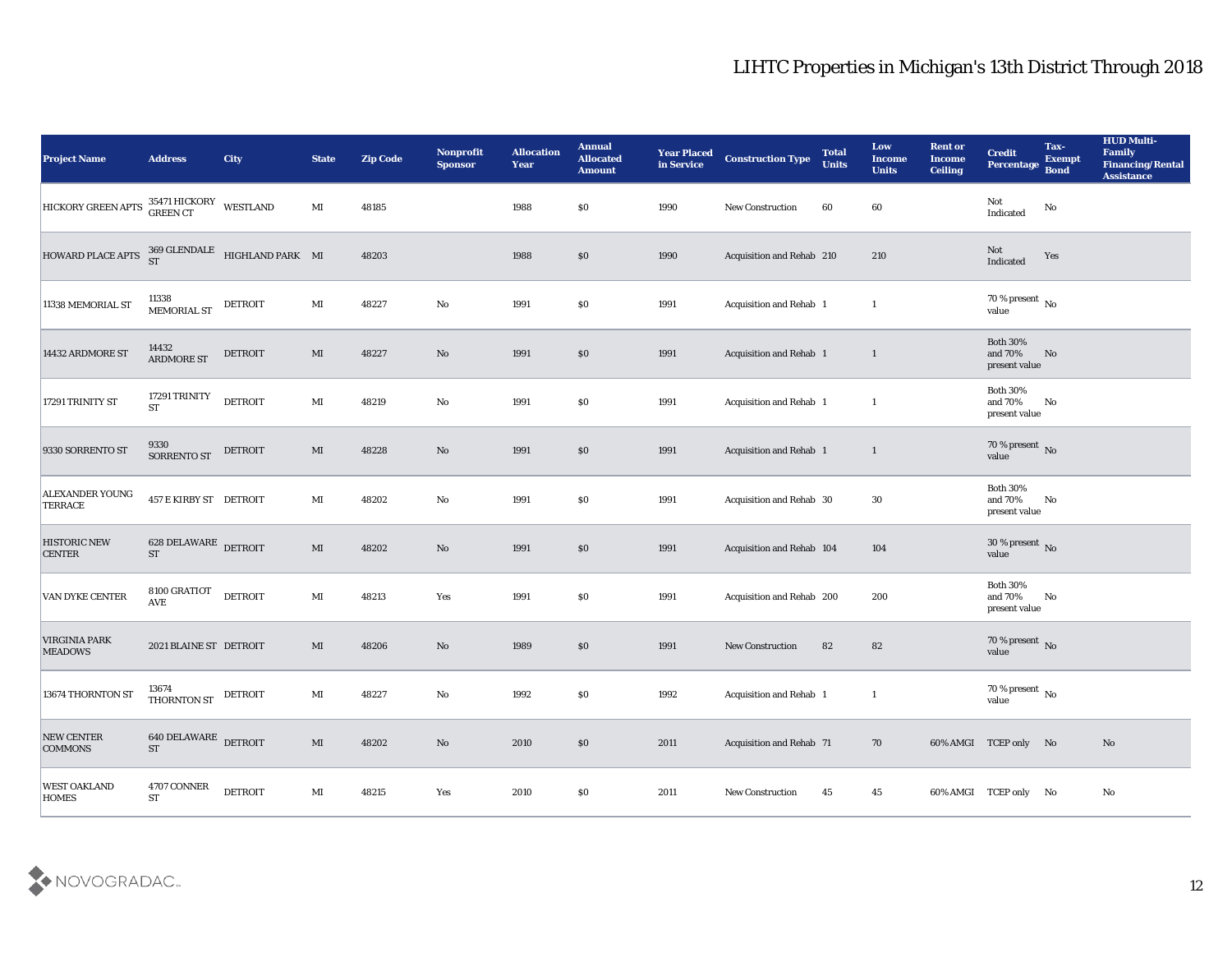| <b>Project Name</b>                       | <b>Address</b>                                     | City                                | <b>State</b>           | <b>Zip Code</b> | Nonprofit<br><b>Sponsor</b> | <b>Allocation</b><br><b>Year</b> | <b>Annual</b><br><b>Allocated</b><br><b>Amount</b> | <b>Year Placed</b><br>in Service | <b>Construction Type</b>  | <b>Total</b><br><b>Units</b> | Low<br><b>Income</b><br><b>Units</b> | <b>Rent or</b><br><b>Income</b><br><b>Ceiling</b> | <b>Credit</b><br>Percentage                    | Tax-<br><b>Exempt</b><br><b>Bond</b> | <b>HUD Multi-</b><br>Family<br><b>Financing/Rental</b><br><b>Assistance</b> |
|-------------------------------------------|----------------------------------------------------|-------------------------------------|------------------------|-----------------|-----------------------------|----------------------------------|----------------------------------------------------|----------------------------------|---------------------------|------------------------------|--------------------------------------|---------------------------------------------------|------------------------------------------------|--------------------------------------|-----------------------------------------------------------------------------|
| HICKORY GREEN APTS 35471 HICKORY WESTLAND |                                                    |                                     | MI                     | 48185           |                             | 1988                             | $\$0$                                              | 1990                             | New Construction          | 60                           | 60                                   |                                                   | Not<br>Indicated                               | No                                   |                                                                             |
| HOWARD PLACE APTS                         |                                                    | 369 GLENDALE HIGHLAND PARK MI<br>ST |                        | 48203           |                             | 1988                             | \$0                                                | 1990                             | Acquisition and Rehab 210 |                              | 210                                  |                                                   | Not<br>Indicated                               | Yes                                  |                                                                             |
| 11338 MEMORIAL ST                         | 11338<br>MEMORIAL ST                               | DETROIT                             | MI                     | 48227           | $\mathbf {No}$              | 1991                             | \$0                                                | 1991                             | Acquisition and Rehab 1   |                              | $\mathbf{1}$                         |                                                   | 70 % present $\,$ No $\,$<br>value             |                                      |                                                                             |
| 14432 ARDMORE ST                          | 14432<br><b>ARDMORE ST</b>                         | <b>DETROIT</b>                      | MI                     | 48227           | No                          | 1991                             | $\$0$                                              | 1991                             | Acquisition and Rehab 1   |                              | $\mathbf{1}$                         |                                                   | <b>Both 30%</b><br>and $70\%$<br>present value | No                                   |                                                                             |
| 17291 TRINITY ST                          | 17291 TRINITY<br><b>ST</b>                         | <b>DETROIT</b>                      | $\mathbf{M}\mathbf{I}$ | 48219           | $\mathbf {No}$              | 1991                             | $\$0$                                              | 1991                             | Acquisition and Rehab 1   |                              | 1                                    |                                                   | <b>Both 30%</b><br>and 70%<br>present value    | No                                   |                                                                             |
| 9330 SORRENTO ST                          | 9330<br>SORRENTO ST                                | DETROIT                             | MI                     | 48228           | No                          | 1991                             | \$0                                                | 1991                             | Acquisition and Rehab 1   |                              | $\mathbf{1}$                         |                                                   | $70\,\%$ present $\,$ No value                 |                                      |                                                                             |
| <b>ALEXANDER YOUNG</b><br><b>TERRACE</b>  | 457 E KIRBY ST DETROIT                             |                                     | MI                     | 48202           | No                          | 1991                             | \$0                                                | 1991                             | Acquisition and Rehab 30  |                              | 30                                   |                                                   | <b>Both 30%</b><br>and 70%<br>present value    | No                                   |                                                                             |
| <b>HISTORIC NEW</b><br><b>CENTER</b>      | 628 DELAWARE DETROIT<br><b>ST</b>                  |                                     | MI                     | 48202           | No                          | 1991                             | $\$0$                                              | 1991                             | Acquisition and Rehab 104 |                              | 104                                  |                                                   | $30\,\%$ present $\,$ No value                 |                                      |                                                                             |
| <b>VAN DYKE CENTER</b>                    | $8100\rm\,GRATIOT$<br><b>AVE</b>                   | <b>DETROIT</b>                      | $\mathbf{M}\mathbf{I}$ | 48213           | Yes                         | 1991                             | $\$0$                                              | 1991                             | Acquisition and Rehab 200 |                              | 200                                  |                                                   | <b>Both 30%</b><br>and 70%<br>present value    | No                                   |                                                                             |
| <b>VIRGINIA PARK</b><br><b>MEADOWS</b>    | 2021 BLAINE ST DETROIT                             |                                     | MI                     | 48206           | No                          | 1989                             | \$0                                                | 1991                             | <b>New Construction</b>   | 82                           | 82                                   |                                                   | $70\,\%$ present $\,$ No value                 |                                      |                                                                             |
| 13674 THORNTON ST                         | 13674<br>THORNTON ST                               | DETROIT                             | MI                     | 48227           | No                          | 1992                             | \$0                                                | 1992                             | Acquisition and Rehab 1   |                              | 1                                    |                                                   | 70 % present $\,$ No $\,$<br>value             |                                      |                                                                             |
| NEW CENTER<br><b>COMMONS</b>              | <b>640 DELAWARE DETROIT</b><br>$\operatorname{ST}$ |                                     | $\mathbf{M}\mathbf{I}$ | 48202           | $\mathbf{N}\mathbf{o}$      | 2010                             | $\$0$                                              | 2011                             | Acquisition and Rehab 71  |                              | 70                                   |                                                   | 60% AMGI TCEP only No                          |                                      | No                                                                          |
| <b>WEST OAKLAND</b><br><b>HOMES</b>       | 4707 CONNER<br><b>ST</b>                           | <b>DETROIT</b>                      | $\mathbf{M}$ I         | 48215           | Yes                         | 2010                             | \$0                                                | 2011                             | <b>New Construction</b>   | 45                           | 45                                   |                                                   | 60% AMGI TCEP only No                          |                                      | $\mathbf {No}$                                                              |

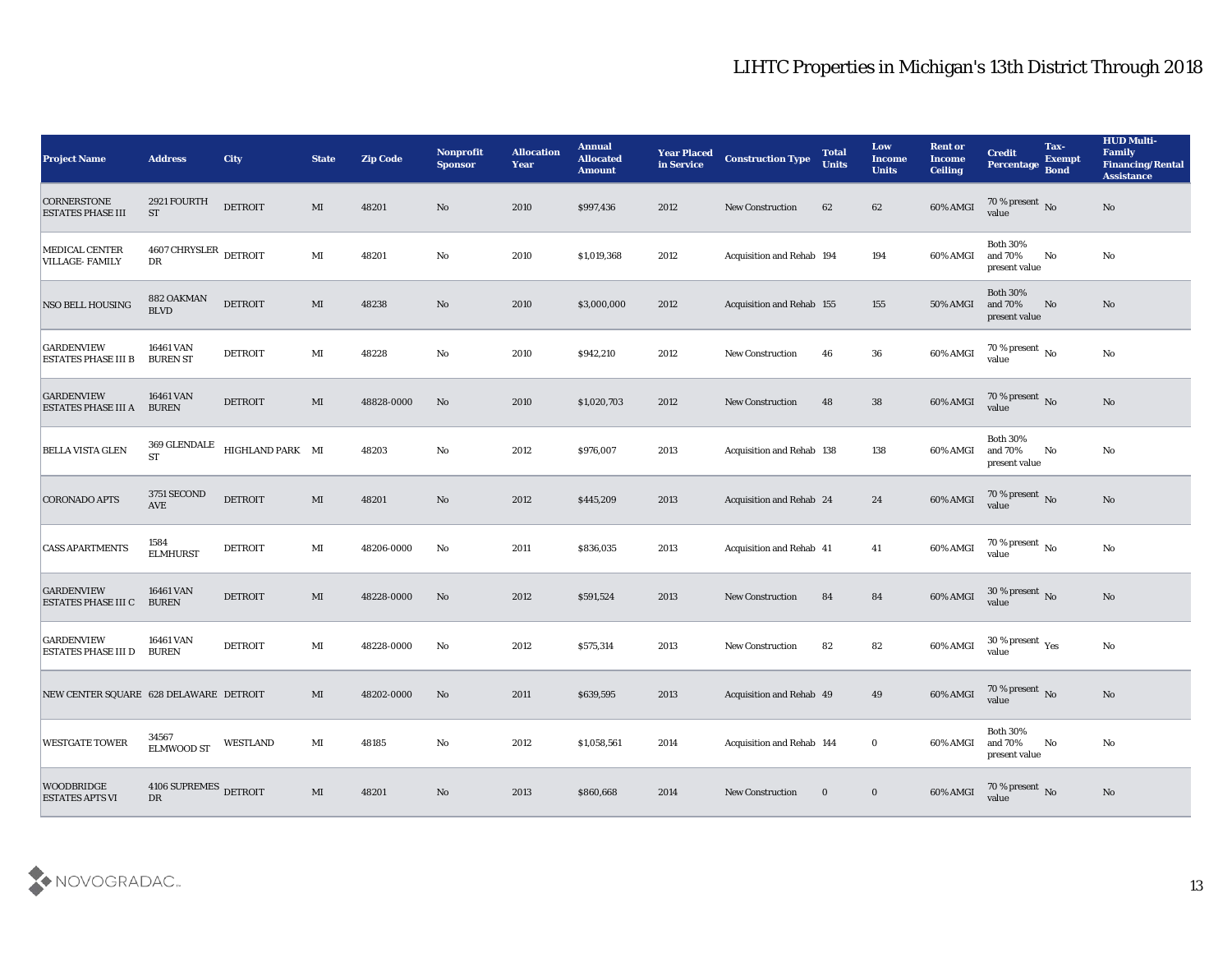| <b>Project Name</b>                             | <b>Address</b>                               | <b>City</b>      | <b>State</b>           | <b>Zip Code</b> | Nonprofit<br><b>Sponsor</b> | <b>Allocation</b><br><b>Year</b> | <b>Annual</b><br><b>Allocated</b><br><b>Amount</b> | <b>Year Placed</b><br>in Service | <b>Construction Type</b>         | <b>Total</b><br><b>Units</b> | Low<br><b>Income</b><br><b>Units</b> | <b>Rent or</b><br><b>Income</b><br><b>Ceiling</b> | <b>Credit</b><br>Percentage Bond            | Tax-<br><b>Exempt</b> | <b>HUD Multi-</b><br><b>Family</b><br><b>Financing/Rental</b><br><b>Assistance</b> |
|-------------------------------------------------|----------------------------------------------|------------------|------------------------|-----------------|-----------------------------|----------------------------------|----------------------------------------------------|----------------------------------|----------------------------------|------------------------------|--------------------------------------|---------------------------------------------------|---------------------------------------------|-----------------------|------------------------------------------------------------------------------------|
| <b>CORNERSTONE</b><br><b>ESTATES PHASE III</b>  | 2921 FOURTH<br><b>ST</b>                     | <b>DETROIT</b>   | MI                     | 48201           | No                          | 2010                             | \$997,436                                          | 2012                             | <b>New Construction</b>          | 62                           | 62                                   | 60% AMGI                                          | $\frac{70\%}{\text{value}}$ No              |                       | No                                                                                 |
| MEDICAL CENTER<br>VILLAGE- FAMILY               | $4607\,\mbox{CHRYSLER}\xspace$ DETROIT<br>DR |                  | MI                     | 48201           | No                          | 2010                             | \$1,019,368                                        | 2012                             | Acquisition and Rehab 194        |                              | 194                                  | 60% AMGI                                          | <b>Both 30%</b><br>and 70%<br>present value | No                    | No                                                                                 |
| <b>NSO BELL HOUSING</b>                         | 882 OAKMAN<br><b>BLVD</b>                    | <b>DETROIT</b>   | $\mathbf{M}\mathbf{I}$ | 48238           | No                          | 2010                             | \$3,000,000                                        | 2012                             | Acquisition and Rehab 155        |                              | 155                                  | 50% AMGI                                          | <b>Both 30%</b><br>and 70%<br>present value | No                    | No                                                                                 |
| <b>GARDENVIEW</b><br>ESTATES PHASE III B        | 16461 VAN<br><b>BUREN ST</b>                 | <b>DETROIT</b>   | MI                     | 48228           | No                          | 2010                             | \$942,210                                          | 2012                             | New Construction                 | 46                           | 36                                   | 60% AMGI                                          | 70 % present $\,$ No $\,$<br>value          |                       | No                                                                                 |
| <b>GARDENVIEW</b><br><b>ESTATES PHASE III A</b> | 16461 VAN<br><b>BUREN</b>                    | <b>DETROIT</b>   | MI                     | 48828-0000      | No                          | 2010                             | \$1,020,703                                        | 2012                             | <b>New Construction</b>          | 48                           | 38                                   | 60% AMGI                                          | $70\,\%$ present $\,$ No value              |                       | No                                                                                 |
| <b>BELLA VISTA GLEN</b>                         | 369 GLENDALE<br><b>ST</b>                    | HIGHLAND PARK MI |                        | 48203           | No                          | 2012                             | \$976,007                                          | 2013                             | <b>Acquisition and Rehab 138</b> |                              | 138                                  | 60% AMGI                                          | <b>Both 30%</b><br>and 70%<br>present value | No                    | No                                                                                 |
| <b>CORONADO APTS</b>                            | 3751 SECOND<br><b>AVE</b>                    | <b>DETROIT</b>   | MI                     | 48201           | No                          | 2012                             | \$445,209                                          | 2013                             | Acquisition and Rehab 24         |                              | 24                                   | 60% AMGI                                          | $\frac{70\%}{value}$ No                     |                       | No                                                                                 |
| <b>CASS APARTMENTS</b>                          | 1584<br><b>ELMHURST</b>                      | <b>DETROIT</b>   | MI                     | 48206-0000      | No                          | 2011                             | \$836,035                                          | 2013                             | <b>Acquisition and Rehab 41</b>  |                              | 41                                   | 60% AMGI                                          | 70 % present $\,$ No $\,$<br>value          |                       | $\mathbf{N}\mathbf{o}$                                                             |
| <b>GARDENVIEW</b><br><b>ESTATES PHASE III C</b> | 16461 VAN<br><b>BUREN</b>                    | <b>DETROIT</b>   | MI                     | 48228-0000      | No                          | 2012                             | \$591,524                                          | 2013                             | <b>New Construction</b>          | 84                           | 84                                   | 60% AMGI                                          | 30 % present $\,$ No $\,$<br>value          |                       | No                                                                                 |
| <b>GARDENVIEW</b><br><b>ESTATES PHASE III D</b> | 16461 VAN<br><b>BUREN</b>                    | <b>DETROIT</b>   | MI                     | 48228-0000      | No                          | 2012                             | \$575,314                                          | 2013                             | <b>New Construction</b>          | 82                           | 82                                   | 60% AMGI                                          | $30\,\%$ present $\,$ Yes value             |                       | $\rm\thinspace No$                                                                 |
| NEW CENTER SQUARE 628 DELAWARE DETROIT          |                                              |                  | MI                     | 48202-0000      | No                          | 2011                             | \$639,595                                          | 2013                             | Acquisition and Rehab 49         |                              | 49                                   | 60% AMGI                                          | 70 % present No<br>value                    |                       | No                                                                                 |
| WESTGATE TOWER                                  | 34567<br><b>ELMWOOD ST</b>                   | <b>WESTLAND</b>  | $\mathbf{M}\mathbf{I}$ | 48185           | $\mathbf {No}$              | 2012                             | \$1,058,561                                        | 2014                             | Acquisition and Rehab 144        |                              | $\bf{0}$                             | 60% AMGI                                          | Both $30\%$<br>and $70\%$<br>present value  | No                    | $\mathbf{N}\mathbf{o}$                                                             |
| <b>WOODBRIDGE</b><br><b>ESTATES APTS VI</b>     | 4106 SUPREMES DETROIT<br>DR                  |                  | $\mathbf{M}\mathbf{I}$ | 48201           | No                          | 2013                             | \$860,668                                          | 2014                             | <b>New Construction</b>          | $\bf{0}$                     | $\bf{0}$                             | 60% AMGI                                          | $70\,\%$ present $\,$ No value              |                       | No                                                                                 |

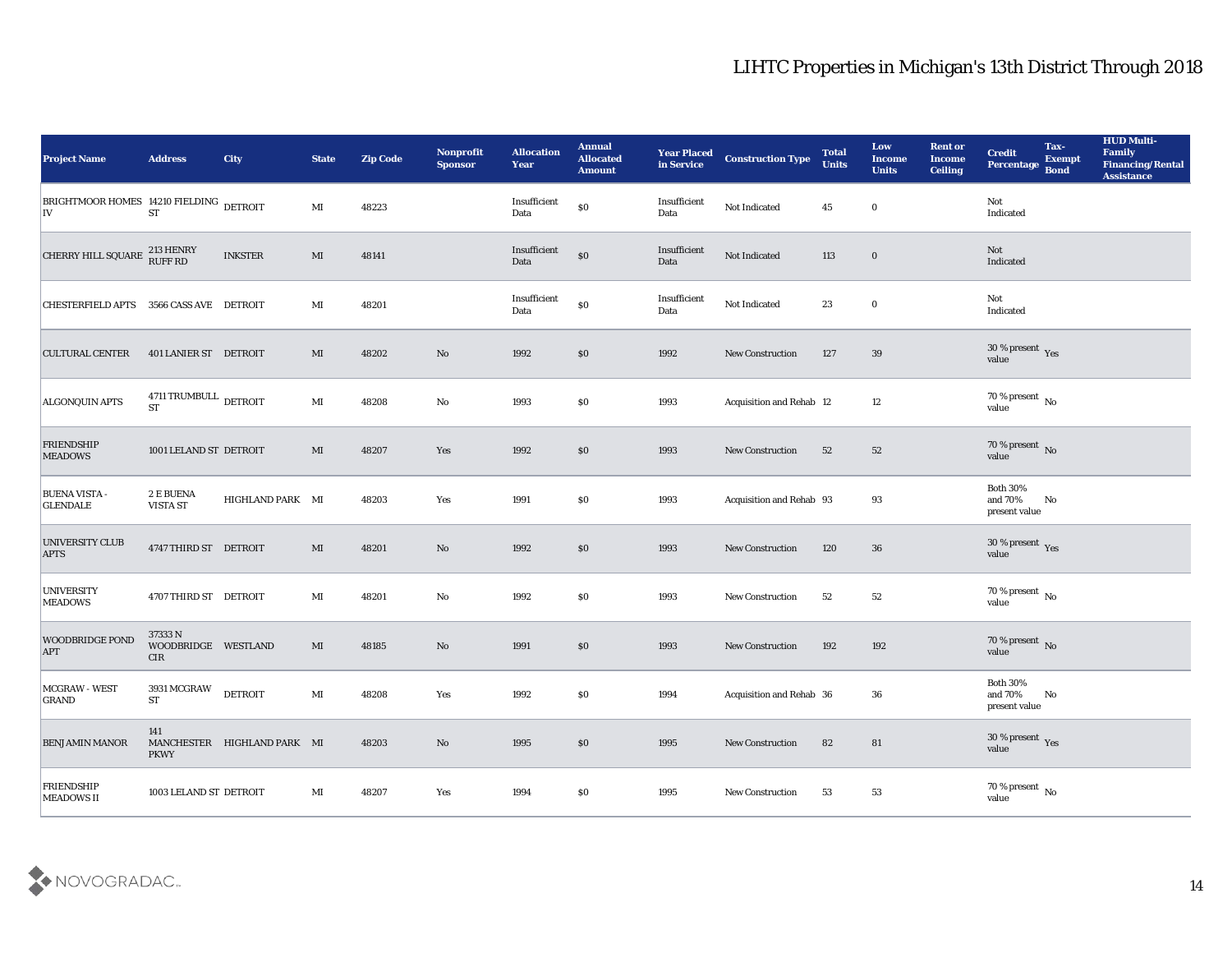| <b>Project Name</b>                           | <b>Address</b>                                        | <b>City</b>                 | <b>State</b>           | <b>Zip Code</b> | Nonprofit<br><b>Sponsor</b>   | <b>Allocation</b><br><b>Year</b> | <b>Annual</b><br><b>Allocated</b><br><b>Amount</b> | <b>Year Placed</b><br>in Service | <b>Construction Type</b> | <b>Total</b><br><b>Units</b> | Low<br>Income<br><b>Units</b> | <b>Rent or</b><br><b>Income</b><br><b>Ceiling</b> | <b>Credit</b><br>Percentage                      | Tax-<br><b>Exempt</b><br><b>Bond</b> | <b>HUD Multi-</b><br>Family<br><b>Financing/Rental</b><br><b>Assistance</b> |
|-----------------------------------------------|-------------------------------------------------------|-----------------------------|------------------------|-----------------|-------------------------------|----------------------------------|----------------------------------------------------|----------------------------------|--------------------------|------------------------------|-------------------------------|---------------------------------------------------|--------------------------------------------------|--------------------------------------|-----------------------------------------------------------------------------|
| BRIGHTMOOR HOMES 14210 FIELDING DETROIT<br>IV | <b>ST</b>                                             |                             | MI                     | 48223           |                               | Insufficient<br>Data             | \$0                                                | Insufficient<br>Data             | Not Indicated            | 45                           | $\bf{0}$                      |                                                   | Not<br>Indicated                                 |                                      |                                                                             |
| CHERRY HILL SQUARE 213 HENRY                  |                                                       | <b>INKSTER</b>              | MI                     | 48141           |                               | Insufficient<br>Data             | $\$0$                                              | Insufficient<br>Data             | Not Indicated            | 113                          | $\bf{0}$                      |                                                   | Not<br>Indicated                                 |                                      |                                                                             |
| CHESTERFIELD APTS 3566 CASS AVE DETROIT       |                                                       |                             | MI                     | 48201           |                               | Insufficient<br>Data             | $\boldsymbol{\mathsf{S}}\boldsymbol{\mathsf{0}}$   | Insufficient<br>Data             | Not Indicated            | 23                           | $\bf{0}$                      |                                                   | Not<br>Indicated                                 |                                      |                                                                             |
| <b>CULTURAL CENTER</b>                        | 401 LANIER ST DETROIT                                 |                             | MI                     | 48202           | No                            | 1992                             | \$0\$                                              | 1992                             | New Construction         | 127                          | 39                            |                                                   | $30\,\%$ present $\,$ Yes value                  |                                      |                                                                             |
| <b>ALGONQUIN APTS</b>                         | $4711\,\mathrm{TRUMBULL}\xspace$ DETROIT<br><b>ST</b> |                             | MI                     | 48208           | No                            | 1993                             | \$0                                                | 1993                             | Acquisition and Rehab 12 |                              | 12                            |                                                   | $70\,\%$ present $\,$ No value                   |                                      |                                                                             |
| <b>FRIENDSHIP</b><br><b>MEADOWS</b>           | 1001 LELAND ST DETROIT                                |                             | MI                     | 48207           | Yes                           | 1992                             | $\$0$                                              | 1993                             | <b>New Construction</b>  | 52                           | 52                            |                                                   | $70\,\%$ present $\,$ No value                   |                                      |                                                                             |
| <b>BUENA VISTA -</b><br><b>GLENDALE</b>       | 2 E BUENA<br>VISTA ST                                 | HIGHLAND PARK MI            |                        | 48203           | Yes                           | 1991                             | \$0                                                | 1993                             | Acquisition and Rehab 93 |                              | 93                            |                                                   | <b>Both 30%</b><br>and 70%<br>present value      | No                                   |                                                                             |
| <b>UNIVERSITY CLUB</b><br><b>APTS</b>         | 4747 THIRD ST DETROIT                                 |                             | MI                     | 48201           | No                            | 1992                             | \$0                                                | 1993                             | <b>New Construction</b>  | 120                          | 36                            |                                                   | $30\,\%$ present $\,$ Yes value                  |                                      |                                                                             |
| <b>UNIVERSITY</b><br><b>MEADOWS</b>           | 4707 THIRD ST DETROIT                                 |                             | MI                     | 48201           | No                            | 1992                             | \$0                                                | 1993                             | <b>New Construction</b>  | 52                           | 52                            |                                                   | $70\,\%$ present $\,$ No value                   |                                      |                                                                             |
| <b>WOODBRIDGE POND</b><br><b>APT</b>          | 37333 N<br>WOODBRIDGE WESTLAND<br><b>CIR</b>          |                             | MI                     | 48185           | $\mathbf{N}\mathbf{o}$        | 1991                             | \$0                                                | 1993                             | <b>New Construction</b>  | 192                          | 192                           |                                                   | $70\,\%$ present $\,$ No value                   |                                      |                                                                             |
| MCGRAW - WEST<br><b>GRAND</b>                 | 3931 MCGRAW<br>${\cal ST}$                            | <b>DETROIT</b>              | MI                     | 48208           | Yes                           | 1992                             | $\$0$                                              | 1994                             | Acquisition and Rehab 36 |                              | 36                            |                                                   | <b>Both 30%</b><br>and 70%<br>$\,$ present value | No                                   |                                                                             |
| <b>BENJAMIN MANOR</b>                         | 141<br><b>PKWY</b>                                    | MANCHESTER HIGHLAND PARK MI |                        | 48203           | $\mathbf {No}$                | 1995                             | $\$0$                                              | 1995                             | New Construction         | 82                           | ${\bf 81}$                    |                                                   | $30\,\%$ present $\,$ Yes value                  |                                      |                                                                             |
| <b>FRIENDSHIP</b><br>MEADOWS II               | 1003 LELAND ST DETROIT                                |                             | $\mathbf{M}\mathbf{I}$ | 48207           | $\operatorname{\textsc{Yes}}$ | 1994                             | $\$0$                                              | 1995                             | New Construction         | 53                           | ${\bf 53}$                    |                                                   | $70\,\%$ present $\,$ No value                   |                                      |                                                                             |

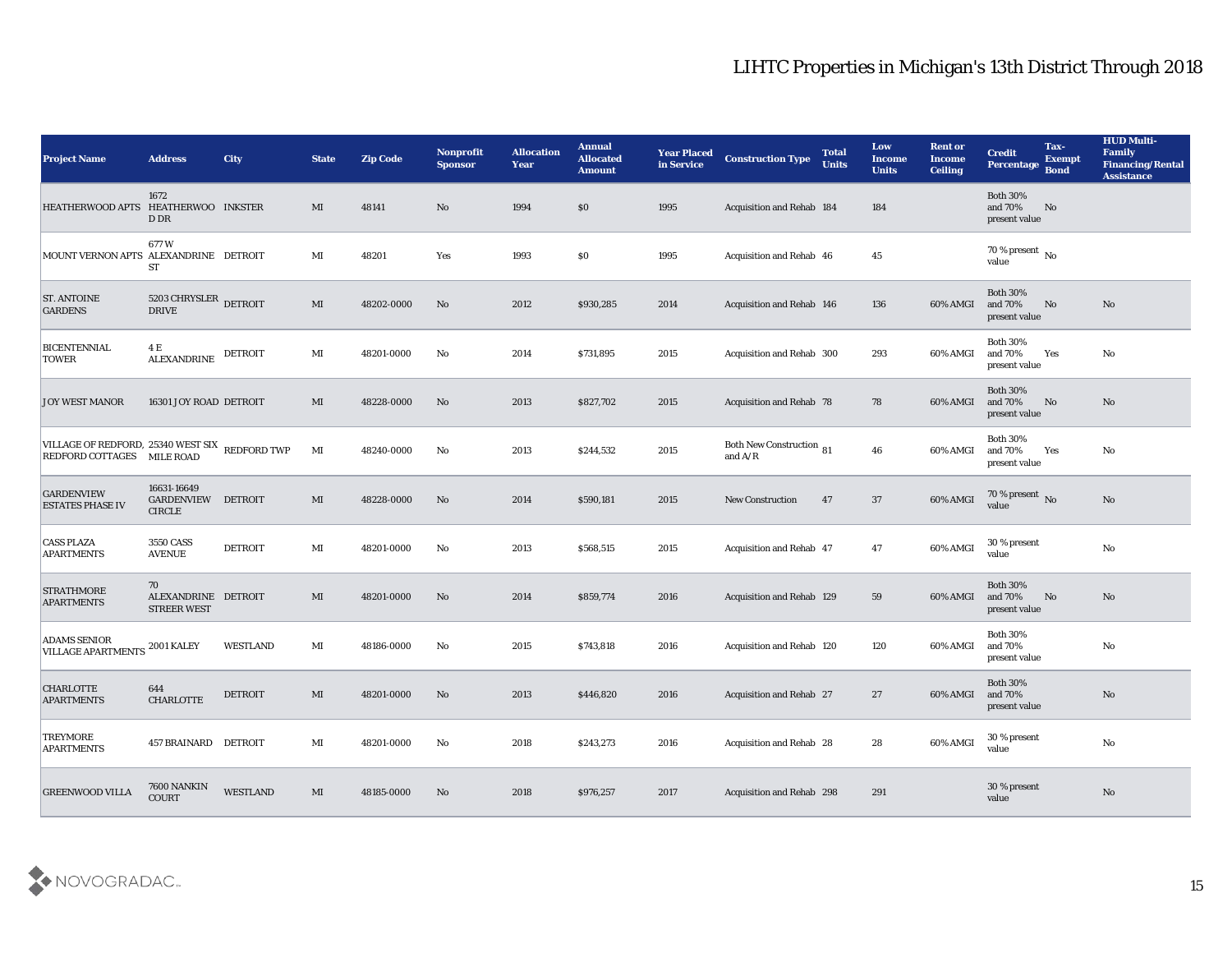| <b>Project Name</b>                                                          | <b>Address</b>                                     | <b>City</b>     | <b>State</b>   | <b>Zip Code</b> | <b>Nonprofit</b><br><b>Sponsor</b> | <b>Allocation</b><br><b>Year</b> | <b>Annual</b><br><b>Allocated</b><br><b>Amount</b> | <b>Year Placed</b><br>in Service | <b>Construction Type</b>              | <b>Total</b><br><b>Units</b> | Low<br><b>Income</b><br><b>Units</b> | <b>Rent or</b><br><b>Income</b><br><b>Ceiling</b> | <b>Credit</b><br><b>Percentage</b>                    | Tax-<br><b>Exempt</b><br><b>Bond</b> | <b>HUD Multi-</b><br>Family<br><b>Financing/Rental</b><br><b>Assistance</b> |
|------------------------------------------------------------------------------|----------------------------------------------------|-----------------|----------------|-----------------|------------------------------------|----------------------------------|----------------------------------------------------|----------------------------------|---------------------------------------|------------------------------|--------------------------------------|---------------------------------------------------|-------------------------------------------------------|--------------------------------------|-----------------------------------------------------------------------------|
| HEATHERWOOD APTS HEATHERWOO INKSTER                                          | 1672<br>D DR                                       |                 | MI             | 48141           | No                                 | 1994                             | $\$0$                                              | 1995                             | Acquisition and Rehab 184             |                              | 184                                  |                                                   | <b>Both 30%</b><br>and 70%<br>present value           | No                                   |                                                                             |
| MOUNT VERNON APTS ALEXANDRINE DETROIT                                        | 677W<br><b>ST</b>                                  |                 | MI             | 48201           | Yes                                | 1993                             | \$0                                                | 1995                             | Acquisition and Rehab 46              |                              | 45                                   |                                                   | $70\,\%$ present $\overline{\phantom{1}}$ No<br>value |                                      |                                                                             |
| <b>ST. ANTOINE</b><br><b>GARDENS</b>                                         | 5203 CHRYSLER<br><b>DRIVE</b>                      | <b>DETROIT</b>  | MI             | 48202-0000      | No                                 | 2012                             | \$930,285                                          | 2014                             | Acquisition and Rehab 146             |                              | 136                                  | 60% AMGI                                          | <b>Both 30%</b><br>and 70%<br>present value           | No                                   | No                                                                          |
| <b>BICENTENNIAL</b><br><b>TOWER</b>                                          | 4 E<br><b>ALEXANDRINE</b>                          | DETROIT         | MI             | 48201-0000      | No                                 | 2014                             | \$731,895                                          | 2015                             | Acquisition and Rehab 300             |                              | 293                                  | 60% AMGI                                          | <b>Both 30%</b><br>and 70%<br>present value           | Yes                                  | No                                                                          |
| <b>JOY WEST MANOR</b>                                                        | 16301 JOY ROAD DETROIT                             |                 | MI             | 48228-0000      | No                                 | 2013                             | \$827,702                                          | 2015                             | Acquisition and Rehab 78              |                              | 78                                   | 60% AMGI                                          | <b>Both 30%</b><br>and 70%<br>present value           | No                                   | No                                                                          |
| VILLAGE OF REDFORD, 25340 WEST SIX REDFORD TWP<br>REDFORD COTTAGES MILE ROAD |                                                    |                 | MI             | 48240-0000      | No                                 | 2013                             | \$244,532                                          | 2015                             | Both New Construction 81<br>and $A/R$ |                              | 46                                   | 60% AMGI                                          | <b>Both 30%</b><br>and 70%<br>present value           | Yes                                  | No                                                                          |
| <b>GARDENVIEW</b><br><b>ESTATES PHASE IV</b>                                 | 16631-16649<br>GARDENVIEW DETROIT<br><b>CIRCLE</b> |                 | MI             | 48228-0000      | No                                 | 2014                             | \$590,181                                          | 2015                             | <b>New Construction</b>               | 47                           | 37                                   | 60% AMGI                                          | $70\,\%$ present $\,$ No value                        |                                      | No                                                                          |
| <b>CASS PLAZA</b><br><b>APARTMENTS</b>                                       | 3550 CASS<br><b>AVENUE</b>                         | <b>DETROIT</b>  | MI             | 48201-0000      | No                                 | 2013                             | \$568,515                                          | 2015                             | Acquisition and Rehab 47              |                              | 47                                   | 60% AMGI                                          | 30 % present<br>value                                 |                                      | No                                                                          |
| <b>STRATHMORE</b><br><b>APARTMENTS</b>                                       | 70<br>ALEXANDRINE DETROIT<br><b>STREER WEST</b>    |                 | MI             | 48201-0000      | No                                 | 2014                             | \$859,774                                          | 2016                             | Acquisition and Rehab 129             |                              | 59                                   | 60% AMGI                                          | <b>Both 30%</b><br>and 70%<br>present value           | No                                   | No                                                                          |
| <b>ADAMS SENIOR</b><br><b>VILLAGE APARTMENTS</b>                             | 2001 KALEY                                         | <b>WESTLAND</b> | MI             | 48186-0000      | No                                 | 2015                             | \$743,818                                          | 2016                             | Acquisition and Rehab 120             |                              | 120                                  | 60% AMGI                                          | <b>Both 30%</b><br>and 70%<br>present value           |                                      | No                                                                          |
| <b>CHARLOTTE</b><br><b>APARTMENTS</b>                                        | 644<br><b>CHARLOTTE</b>                            | <b>DETROIT</b>  | MI             | 48201-0000      | No                                 | 2013                             | \$446,820                                          | 2016                             | Acquisition and Rehab 27              |                              | 27                                   | 60% AMGI                                          | <b>Both 30%</b><br>and 70%<br>present value           |                                      | No                                                                          |
| <b>TREYMORE</b><br><b>APARTMENTS</b>                                         | 457 BRAINARD DETROIT                               |                 | $\mathbf{M}$ I | 48201-0000      | $\mathbf{N}\mathbf{o}$             | 2018                             | \$243,273                                          | 2016                             | Acquisition and Rehab 28              |                              | 28                                   | 60% AMGI                                          | 30 % present<br>value                                 |                                      | ${\bf No}$                                                                  |
| <b>GREENWOOD VILLA</b>                                                       | 7600 NANKIN<br><b>COURT</b>                        | <b>WESTLAND</b> | MI             | 48185-0000      | $\rm\thinspace No$                 | 2018                             | \$976,257                                          | 2017                             | Acquisition and Rehab 298             |                              | 291                                  |                                                   | 30 % present<br>value                                 |                                      | $\rm No$                                                                    |